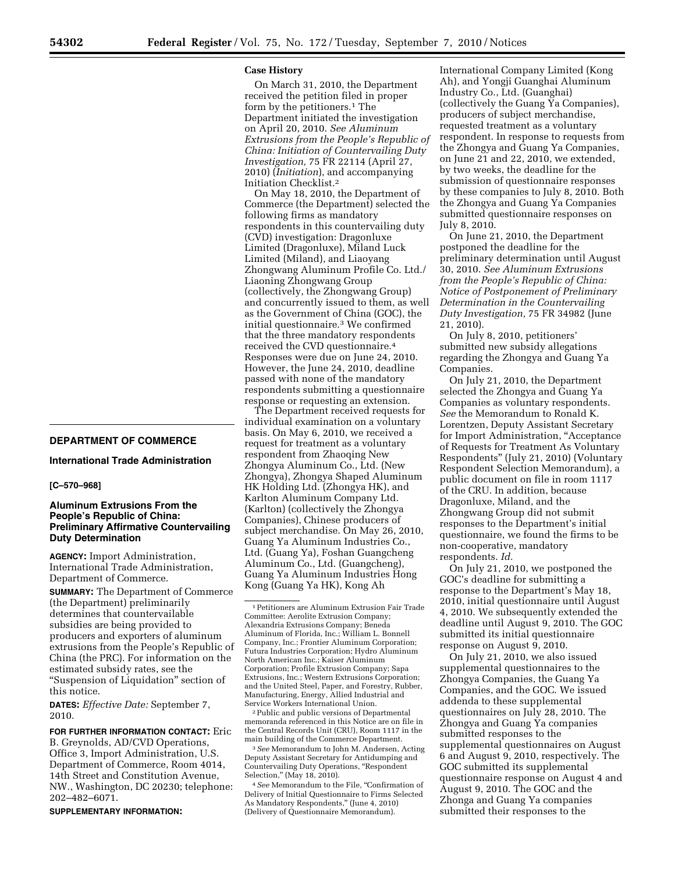### **Case History**

On March 31, 2010, the Department received the petition filed in proper form by the petitioners.<sup>1</sup> The Department initiated the investigation on April 20, 2010. *See Aluminum Extrusions from the People's Republic of China: Initiation of Countervailing Duty Investigation,* 75 FR 22114 (April 27, 2010) (*Initiation*), and accompanying Initiation Checklist.2

On May 18, 2010, the Department of Commerce (the Department) selected the following firms as mandatory respondents in this countervailing duty (CVD) investigation: Dragonluxe Limited (Dragonluxe), Miland Luck Limited (Miland), and Liaoyang Zhongwang Aluminum Profile Co. Ltd./ Liaoning Zhongwang Group (collectively, the Zhongwang Group) and concurrently issued to them, as well as the Government of China (GOC), the initial questionnaire.3 We confirmed that the three mandatory respondents received the CVD questionnaire.4 Responses were due on June 24, 2010. However, the June 24, 2010, deadline passed with none of the mandatory respondents submitting a questionnaire response or requesting an extension.

The Department received requests for individual examination on a voluntary basis. On May 6, 2010, we received a request for treatment as a voluntary respondent from Zhaoqing New Zhongya Aluminum Co., Ltd. (New Zhongya), Zhongya Shaped Aluminum HK Holding Ltd. (Zhongya HK), and Karlton Aluminum Company Ltd. (Karlton) (collectively the Zhongya Companies), Chinese producers of subject merchandise. On May 26, 2010, Guang Ya Aluminum Industries Co., Ltd. (Guang Ya), Foshan Guangcheng Aluminum Co., Ltd. (Guangcheng), Guang Ya Aluminum Industries Hong Kong (Guang Ya HK), Kong Ah

2Public and public versions of Departmental memoranda referenced in this Notice are on file in the Central Records Unit (CRU), Room 1117 in the main building of the Commerce Department.

3*See* Memorandum to John M. Andersen, Acting Deputy Assistant Secretary for Antidumping and Countervailing Duty Operations, ''Respondent Selection,'' (May 18, 2010).

4*See* Memorandum to the File, ''Confirmation of Delivery of Initial Questionnaire to Firms Selected As Mandatory Respondents,'' (June 4, 2010) (Delivery of Questionnaire Memorandum).

International Company Limited (Kong Ah), and Yongji Guanghai Aluminum Industry Co., Ltd. (Guanghai) (collectively the Guang Ya Companies), producers of subject merchandise, requested treatment as a voluntary respondent. In response to requests from the Zhongya and Guang Ya Companies, on June 21 and 22, 2010, we extended, by two weeks, the deadline for the submission of questionnaire responses by these companies to July 8, 2010. Both the Zhongya and Guang Ya Companies submitted questionnaire responses on July 8, 2010.

On June 21, 2010, the Department postponed the deadline for the preliminary determination until August 30, 2010. *See Aluminum Extrusions from the People's Republic of China: Notice of Postponement of Preliminary Determination in the Countervailing Duty Investigation,* 75 FR 34982 (June 21, 2010).

On July 8, 2010, petitioners' submitted new subsidy allegations regarding the Zhongya and Guang Ya Companies.

On July 21, 2010, the Department selected the Zhongya and Guang Ya Companies as voluntary respondents. *See* the Memorandum to Ronald K. Lorentzen, Deputy Assistant Secretary for Import Administration, "Acceptance of Requests for Treatment As Voluntary Respondents'' (July 21, 2010) (Voluntary Respondent Selection Memorandum), a public document on file in room 1117 of the CRU. In addition, because Dragonluxe, Miland, and the Zhongwang Group did not submit responses to the Department's initial questionnaire, we found the firms to be non-cooperative, mandatory respondents. *Id.* 

On July 21, 2010, we postponed the GOC's deadline for submitting a response to the Department's May 18, 2010, initial questionnaire until August 4, 2010. We subsequently extended the deadline until August 9, 2010. The GOC submitted its initial questionnaire response on August 9, 2010.

On July 21, 2010, we also issued supplemental questionnaires to the Zhongya Companies, the Guang Ya Companies, and the GOC. We issued addenda to these supplemental questionnaires on July 28, 2010. The Zhongya and Guang Ya companies submitted responses to the supplemental questionnaires on August 6 and August 9, 2010, respectively. The GOC submitted its supplemental questionnaire response on August 4 and August 9, 2010. The GOC and the Zhonga and Guang Ya companies submitted their responses to the

# **DEPARTMENT OF COMMERCE**

# **International Trade Administration**

### **[C–570–968]**

# **Aluminum Extrusions From the People's Republic of China: Preliminary Affirmative Countervailing Duty Determination**

**AGENCY:** Import Administration, International Trade Administration, Department of Commerce.

**SUMMARY:** The Department of Commerce (the Department) preliminarily determines that countervailable subsidies are being provided to producers and exporters of aluminum extrusions from the People's Republic of China (the PRC). For information on the estimated subsidy rates, see the ''Suspension of Liquidation'' section of this notice.

**DATES:** *Effective Date:* September 7, 2010.

**FOR FURTHER INFORMATION CONTACT:** Eric B. Greynolds, AD/CVD Operations, Office 3, Import Administration, U.S. Department of Commerce, Room 4014, 14th Street and Constitution Avenue, NW., Washington, DC 20230; telephone: 202–482–6071.

**SUPPLEMENTARY INFORMATION:** 

<sup>1</sup>Petitioners are Aluminum Extrusion Fair Trade Committee: Aerolite Extrusion Company; Alexandria Extrusions Company; Beneda Aluminum of Florida, Inc.; William L. Bonnell Company, Inc.; Frontier Aluminum Corporation; Futura Industries Corporation; Hydro Aluminum North American Inc.; Kaiser Aluminum Corporation; Profile Extrusion Company; Sapa Extrusions, Inc.; Western Extrusions Corporation; and the United Steel, Paper, and Forestry, Rubber, Manufacturing, Energy, Allied Industrial and Service Workers International Union.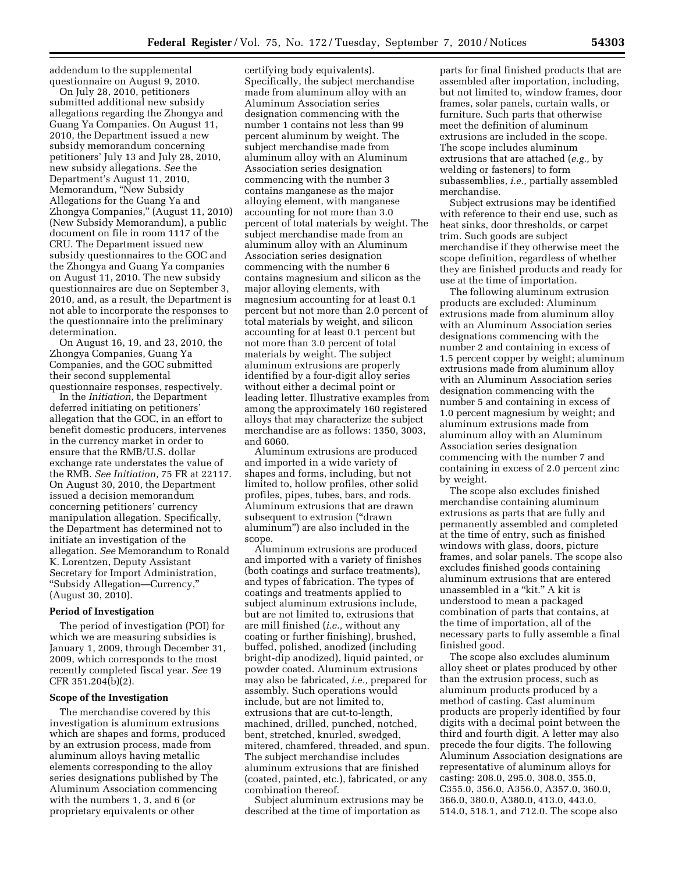addendum to the supplemental questionnaire on August 9, 2010.

On July 28, 2010, petitioners submitted additional new subsidy allegations regarding the Zhongya and Guang Ya Companies. On August 11, 2010, the Department issued a new subsidy memorandum concerning petitioners' July 13 and July 28, 2010, new subsidy allegations. *See* the Department's August 11, 2010, Memorandum, ''New Subsidy Allegations for the Guang Ya and Zhongya Companies,'' (August 11, 2010) (New Subsidy Memorandum), a public document on file in room 1117 of the CRU. The Department issued new subsidy questionnaires to the GOC and the Zhongya and Guang Ya companies on August 11, 2010. The new subsidy questionnaires are due on September 3, 2010, and, as a result, the Department is not able to incorporate the responses to the questionnaire into the preliminary determination.

On August 16, 19, and 23, 2010, the Zhongya Companies, Guang Ya Companies, and the GOC submitted their second supplemental

questionnaire responses, respectively. In the *Initiation,* the Department deferred initiating on petitioners' allegation that the GOC, in an effort to benefit domestic producers, intervenes in the currency market in order to ensure that the RMB/U.S. dollar exchange rate understates the value of the RMB. *See Initiation,* 75 FR at 22117. On August 30, 2010, the Department issued a decision memorandum concerning petitioners' currency manipulation allegation. Specifically, the Department has determined not to initiate an investigation of the allegation. *See* Memorandum to Ronald K. Lorentzen, Deputy Assistant Secretary for Import Administration, ''Subsidy Allegation—Currency,'' (August 30, 2010).

# **Period of Investigation**

The period of investigation (POI) for which we are measuring subsidies is January 1, 2009, through December 31, 2009, which corresponds to the most recently completed fiscal year. *See* 19 CFR 351.204(b)(2).

### **Scope of the Investigation**

The merchandise covered by this investigation is aluminum extrusions which are shapes and forms, produced by an extrusion process, made from aluminum alloys having metallic elements corresponding to the alloy series designations published by The Aluminum Association commencing with the numbers 1, 3, and 6 (or proprietary equivalents or other

certifying body equivalents). Specifically, the subject merchandise made from aluminum alloy with an Aluminum Association series designation commencing with the number 1 contains not less than 99 percent aluminum by weight. The subject merchandise made from aluminum alloy with an Aluminum Association series designation commencing with the number 3 contains manganese as the major alloying element, with manganese accounting for not more than 3.0 percent of total materials by weight. The subject merchandise made from an aluminum alloy with an Aluminum Association series designation commencing with the number 6 contains magnesium and silicon as the major alloying elements, with magnesium accounting for at least 0.1 percent but not more than 2.0 percent of total materials by weight, and silicon accounting for at least 0.1 percent but not more than 3.0 percent of total materials by weight. The subject aluminum extrusions are properly identified by a four-digit alloy series without either a decimal point or leading letter. Illustrative examples from among the approximately 160 registered alloys that may characterize the subject merchandise are as follows: 1350, 3003, and 6060.

Aluminum extrusions are produced and imported in a wide variety of shapes and forms, including, but not limited to, hollow profiles, other solid profiles, pipes, tubes, bars, and rods. Aluminum extrusions that are drawn subsequent to extrusion ("drawn" aluminum'') are also included in the scope.

Aluminum extrusions are produced and imported with a variety of finishes (both coatings and surface treatments), and types of fabrication. The types of coatings and treatments applied to subject aluminum extrusions include, but are not limited to, extrusions that are mill finished (*i.e.,* without any coating or further finishing), brushed, buffed, polished, anodized (including bright-dip anodized), liquid painted, or powder coated. Aluminum extrusions may also be fabricated, *i.e.,* prepared for assembly. Such operations would include, but are not limited to, extrusions that are cut-to-length, machined, drilled, punched, notched, bent, stretched, knurled, swedged, mitered, chamfered, threaded, and spun. The subject merchandise includes aluminum extrusions that are finished (coated, painted, etc.), fabricated, or any combination thereof.

Subject aluminum extrusions may be described at the time of importation as

parts for final finished products that are assembled after importation, including, but not limited to, window frames, door frames, solar panels, curtain walls, or furniture. Such parts that otherwise meet the definition of aluminum extrusions are included in the scope. The scope includes aluminum extrusions that are attached (*e.g.,* by welding or fasteners) to form subassemblies, *i.e.,* partially assembled merchandise.

Subject extrusions may be identified with reference to their end use, such as heat sinks, door thresholds, or carpet trim. Such goods are subject merchandise if they otherwise meet the scope definition, regardless of whether they are finished products and ready for use at the time of importation.

The following aluminum extrusion products are excluded: Aluminum extrusions made from aluminum alloy with an Aluminum Association series designations commencing with the number 2 and containing in excess of 1.5 percent copper by weight; aluminum extrusions made from aluminum alloy with an Aluminum Association series designation commencing with the number 5 and containing in excess of 1.0 percent magnesium by weight; and aluminum extrusions made from aluminum alloy with an Aluminum Association series designation commencing with the number 7 and containing in excess of 2.0 percent zinc by weight.

The scope also excludes finished merchandise containing aluminum extrusions as parts that are fully and permanently assembled and completed at the time of entry, such as finished windows with glass, doors, picture frames, and solar panels. The scope also excludes finished goods containing aluminum extrusions that are entered unassembled in a "kit." A kit is understood to mean a packaged combination of parts that contains, at the time of importation, all of the necessary parts to fully assemble a final finished good.

The scope also excludes aluminum alloy sheet or plates produced by other than the extrusion process, such as aluminum products produced by a method of casting. Cast aluminum products are properly identified by four digits with a decimal point between the third and fourth digit. A letter may also precede the four digits. The following Aluminum Association designations are representative of aluminum alloys for casting: 208.0, 295.0, 308.0, 355.0, C355.0, 356.0, A356.0, A357.0, 360.0, 366.0, 380.0, A380.0, 413.0, 443.0, 514.0, 518.1, and 712.0. The scope also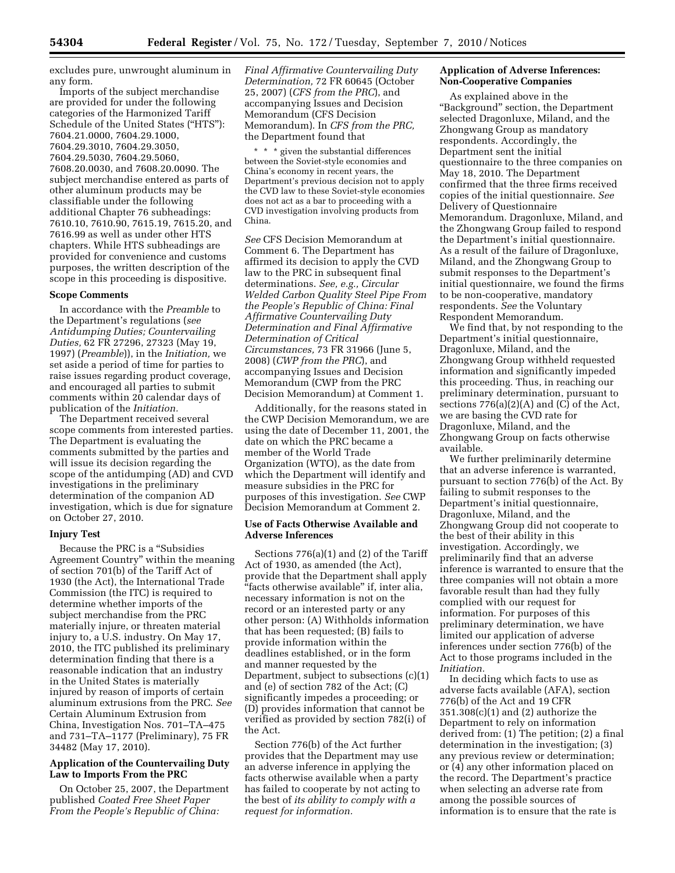excludes pure, unwrought aluminum in any form.

Imports of the subject merchandise are provided for under the following categories of the Harmonized Tariff Schedule of the United States ("HTS"): 7604.21.0000, 7604.29.1000, 7604.29.3010, 7604.29.3050, 7604.29.5030, 7604.29.5060, 7608.20.0030, and 7608.20.0090. The subject merchandise entered as parts of other aluminum products may be classifiable under the following additional Chapter 76 subheadings: 7610.10, 7610.90, 7615.19, 7615.20, and 7616.99 as well as under other HTS chapters. While HTS subheadings are provided for convenience and customs purposes, the written description of the scope in this proceeding is dispositive.

#### **Scope Comments**

In accordance with the *Preamble* to the Department's regulations (*see Antidumping Duties; Countervailing Duties,* 62 FR 27296, 27323 (May 19, 1997) (*Preamble*)), in the *Initiation,* we set aside a period of time for parties to raise issues regarding product coverage, and encouraged all parties to submit comments within 20 calendar days of publication of the *Initiation.* 

The Department received several scope comments from interested parties. The Department is evaluating the comments submitted by the parties and will issue its decision regarding the scope of the antidumping (AD) and CVD investigations in the preliminary determination of the companion AD investigation, which is due for signature on October 27, 2010.

### **Injury Test**

Because the PRC is a ''Subsidies Agreement Country'' within the meaning of section 701(b) of the Tariff Act of 1930 (the Act), the International Trade Commission (the ITC) is required to determine whether imports of the subject merchandise from the PRC materially injure, or threaten material injury to, a U.S. industry. On May 17, 2010, the ITC published its preliminary determination finding that there is a reasonable indication that an industry in the United States is materially injured by reason of imports of certain aluminum extrusions from the PRC. *See*  Certain Aluminum Extrusion from China, Investigation Nos. 701–TA–475 and 731–TA–1177 (Preliminary), 75 FR 34482 (May 17, 2010).

# **Application of the Countervailing Duty Law to Imports From the PRC**

On October 25, 2007, the Department published *Coated Free Sheet Paper From the People's Republic of China:* 

*Final Affirmative Countervailing Duty Determination,* 72 FR 60645 (October 25, 2007) (*CFS from the PRC*), and accompanying Issues and Decision Memorandum (CFS Decision Memorandum). In *CFS from the PRC,*  the Department found that

\* \* \* given the substantial differences between the Soviet-style economies and China's economy in recent years, the Department's previous decision not to apply the CVD law to these Soviet-style economies does not act as a bar to proceeding with a CVD investigation involving products from China.

*See* CFS Decision Memorandum at Comment 6. The Department has affirmed its decision to apply the CVD law to the PRC in subsequent final determinations. *See, e.g., Circular Welded Carbon Quality Steel Pipe From the People's Republic of China: Final Affirmative Countervailing Duty Determination and Final Affirmative Determination of Critical Circumstances,* 73 FR 31966 (June 5, 2008) (*CWP from the PRC*), and accompanying Issues and Decision Memorandum (CWP from the PRC Decision Memorandum) at Comment 1.

Additionally, for the reasons stated in the CWP Decision Memorandum, we are using the date of December 11, 2001, the date on which the PRC became a member of the World Trade Organization (WTO), as the date from which the Department will identify and measure subsidies in the PRC for purposes of this investigation. *See* CWP Decision Memorandum at Comment 2.

### **Use of Facts Otherwise Available and Adverse Inferences**

Sections 776(a)(1) and (2) of the Tariff Act of 1930, as amended (the Act), provide that the Department shall apply ''facts otherwise available'' if, inter alia, necessary information is not on the record or an interested party or any other person: (A) Withholds information that has been requested; (B) fails to provide information within the deadlines established, or in the form and manner requested by the Department, subject to subsections (c)(1) and (e) of section 782 of the Act; (C) significantly impedes a proceeding; or (D) provides information that cannot be verified as provided by section 782(i) of the Act.

Section 776(b) of the Act further provides that the Department may use an adverse inference in applying the facts otherwise available when a party has failed to cooperate by not acting to the best of *its ability to comply with a request for information.* 

# **Application of Adverse Inferences: Non-Cooperative Companies**

As explained above in the ''Background'' section, the Department selected Dragonluxe, Miland, and the Zhongwang Group as mandatory respondents. Accordingly, the Department sent the initial questionnaire to the three companies on May 18, 2010. The Department confirmed that the three firms received copies of the initial questionnaire. *See*  Delivery of Questionnaire Memorandum. Dragonluxe, Miland, and the Zhongwang Group failed to respond the Department's initial questionnaire. As a result of the failure of Dragonluxe, Miland, and the Zhongwang Group to submit responses to the Department's initial questionnaire, we found the firms to be non-cooperative, mandatory respondents. *See* the Voluntary Respondent Memorandum.

We find that, by not responding to the Department's initial questionnaire, Dragonluxe, Miland, and the Zhongwang Group withheld requested information and significantly impeded this proceeding. Thus, in reaching our preliminary determination, pursuant to sections  $776(a)(2)(A)$  and  $(C)$  of the Act, we are basing the CVD rate for Dragonluxe, Miland, and the Zhongwang Group on facts otherwise available.

We further preliminarily determine that an adverse inference is warranted, pursuant to section 776(b) of the Act. By failing to submit responses to the Department's initial questionnaire, Dragonluxe, Miland, and the Zhongwang Group did not cooperate to the best of their ability in this investigation. Accordingly, we preliminarily find that an adverse inference is warranted to ensure that the three companies will not obtain a more favorable result than had they fully complied with our request for information. For purposes of this preliminary determination, we have limited our application of adverse inferences under section 776(b) of the Act to those programs included in the *Initiation.* 

In deciding which facts to use as adverse facts available (AFA), section 776(b) of the Act and 19 CFR 351.308(c)(1) and (2) authorize the Department to rely on information derived from: (1) The petition; (2) a final determination in the investigation; (3) any previous review or determination; or (4) any other information placed on the record. The Department's practice when selecting an adverse rate from among the possible sources of information is to ensure that the rate is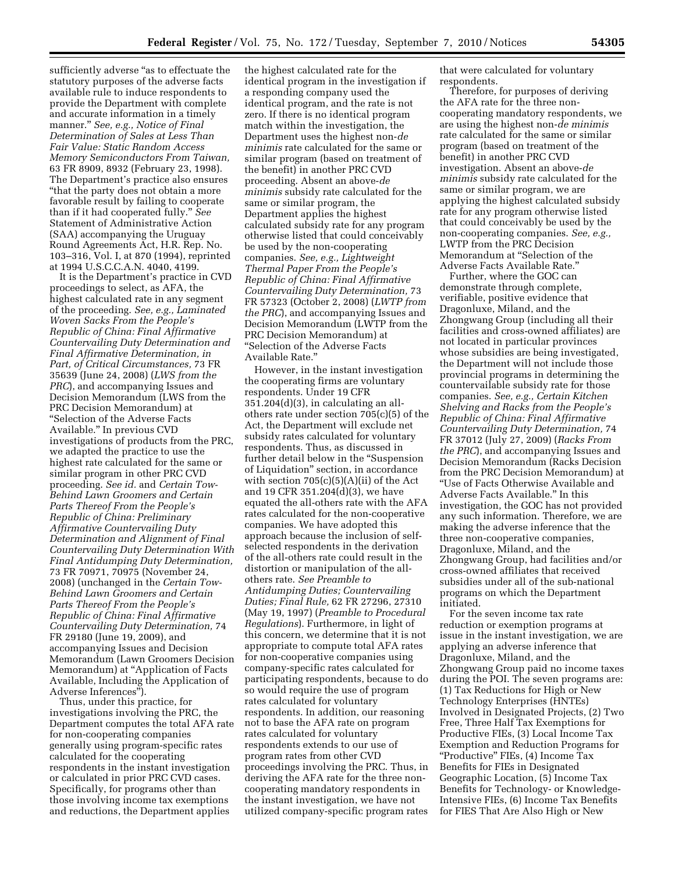sufficiently adverse "as to effectuate the statutory purposes of the adverse facts available rule to induce respondents to provide the Department with complete and accurate information in a timely manner.'' *See, e.g., Notice of Final Determination of Sales at Less Than Fair Value: Static Random Access Memory Semiconductors From Taiwan,*  63 FR 8909, 8932 (February 23, 1998). The Department's practice also ensures ''that the party does not obtain a more favorable result by failing to cooperate than if it had cooperated fully.'' *See*  Statement of Administrative Action (SAA) accompanying the Uruguay Round Agreements Act, H.R. Rep. No. 103–316, Vol. I, at 870 (1994), reprinted at 1994 U.S.C.C.A.N. 4040, 4199.

It is the Department's practice in CVD proceedings to select, as AFA, the highest calculated rate in any segment of the proceeding. *See, e.g., Laminated Woven Sacks From the People's Republic of China: Final Affirmative Countervailing Duty Determination and Final Affirmative Determination, in Part, of Critical Circumstances,* 73 FR 35639 (June 24, 2008) (*LWS from the PRC*), and accompanying Issues and Decision Memorandum (LWS from the PRC Decision Memorandum) at ''Selection of the Adverse Facts Available.'' In previous CVD investigations of products from the PRC, we adapted the practice to use the highest rate calculated for the same or similar program in other PRC CVD proceeding. *See id.* and *Certain Tow-Behind Lawn Groomers and Certain Parts Thereof From the People's Republic of China: Preliminary Affirmative Countervailing Duty Determination and Alignment of Final Countervailing Duty Determination With Final Antidumping Duty Determination,*  73 FR 70971, 70975 (November 24, 2008) (unchanged in the *Certain Tow-Behind Lawn Groomers and Certain Parts Thereof From the People's Republic of China: Final Affirmative Countervailing Duty Determination,* 74 FR 29180 (June 19, 2009), and accompanying Issues and Decision Memorandum (Lawn Groomers Decision Memorandum) at ''Application of Facts Available, Including the Application of Adverse Inferences'').

Thus, under this practice, for investigations involving the PRC, the Department computes the total AFA rate for non-cooperating companies generally using program-specific rates calculated for the cooperating respondents in the instant investigation or calculated in prior PRC CVD cases. Specifically, for programs other than those involving income tax exemptions and reductions, the Department applies

the highest calculated rate for the identical program in the investigation if a responding company used the identical program, and the rate is not zero. If there is no identical program match within the investigation, the Department uses the highest non-*de minimis* rate calculated for the same or similar program (based on treatment of the benefit) in another PRC CVD proceeding. Absent an above-*de minimis* subsidy rate calculated for the same or similar program, the Department applies the highest calculated subsidy rate for any program otherwise listed that could conceivably be used by the non-cooperating companies. *See, e.g., Lightweight Thermal Paper From the People's Republic of China: Final Affirmative Countervailing Duty Determination,* 73 FR 57323 (October 2, 2008) (*LWTP from the PRC*), and accompanying Issues and Decision Memorandum (LWTP from the PRC Decision Memorandum) at ''Selection of the Adverse Facts Available Rate.''

However, in the instant investigation the cooperating firms are voluntary respondents. Under 19 CFR 351.204(d)(3), in calculating an allothers rate under section 705(c)(5) of the Act, the Department will exclude net subsidy rates calculated for voluntary respondents. Thus, as discussed in further detail below in the "Suspension" of Liquidation'' section, in accordance with section  $705(c)(5)(A)(ii)$  of the Act and 19 CFR 351.204(d)(3), we have equated the all-others rate with the AFA rates calculated for the non-cooperative companies. We have adopted this approach because the inclusion of selfselected respondents in the derivation of the all-others rate could result in the distortion or manipulation of the allothers rate. *See Preamble to Antidumping Duties; Countervailing Duties; Final Rule,* 62 FR 27296, 27310 (May 19, 1997) (*Preamble to Procedural Regulations*). Furthermore, in light of this concern, we determine that it is not appropriate to compute total AFA rates for non-cooperative companies using company-specific rates calculated for participating respondents, because to do so would require the use of program rates calculated for voluntary respondents. In addition, our reasoning not to base the AFA rate on program rates calculated for voluntary respondents extends to our use of program rates from other CVD proceedings involving the PRC. Thus, in deriving the AFA rate for the three noncooperating mandatory respondents in the instant investigation, we have not utilized company-specific program rates

that were calculated for voluntary respondents.

Therefore, for purposes of deriving the AFA rate for the three noncooperating mandatory respondents, we are using the highest non-*de minimis*  rate calculated for the same or similar program (based on treatment of the benefit) in another PRC CVD investigation. Absent an above-*de minimis* subsidy rate calculated for the same or similar program, we are applying the highest calculated subsidy rate for any program otherwise listed that could conceivably be used by the non-cooperating companies. *See, e.g.,*  LWTP from the PRC Decision Memorandum at ''Selection of the Adverse Facts Available Rate.''

Further, where the GOC can demonstrate through complete, verifiable, positive evidence that Dragonluxe, Miland, and the Zhongwang Group (including all their facilities and cross-owned affiliates) are not located in particular provinces whose subsidies are being investigated, the Department will not include those provincial programs in determining the countervailable subsidy rate for those companies. *See, e.g., Certain Kitchen Shelving and Racks from the People's Republic of China: Final Affirmative Countervailing Duty Determination,* 74 FR 37012 (July 27, 2009) (*Racks From the PRC*), and accompanying Issues and Decision Memorandum (Racks Decision from the PRC Decision Memorandum) at ''Use of Facts Otherwise Available and Adverse Facts Available.'' In this investigation, the GOC has not provided any such information. Therefore, we are making the adverse inference that the three non-cooperative companies, Dragonluxe, Miland, and the Zhongwang Group, had facilities and/or cross-owned affiliates that received subsidies under all of the sub-national programs on which the Department initiated.

For the seven income tax rate reduction or exemption programs at issue in the instant investigation, we are applying an adverse inference that Dragonluxe, Miland, and the Zhongwang Group paid no income taxes during the POI. The seven programs are: (1) Tax Reductions for High or New Technology Enterprises (HNTEs) Involved in Designated Projects, (2) Two Free, Three Half Tax Exemptions for Productive FIEs, (3) Local Income Tax Exemption and Reduction Programs for ''Productive'' FIEs, (4) Income Tax Benefits for FIEs in Designated Geographic Location, (5) Income Tax Benefits for Technology- or Knowledge-Intensive FIEs, (6) Income Tax Benefits for FIES That Are Also High or New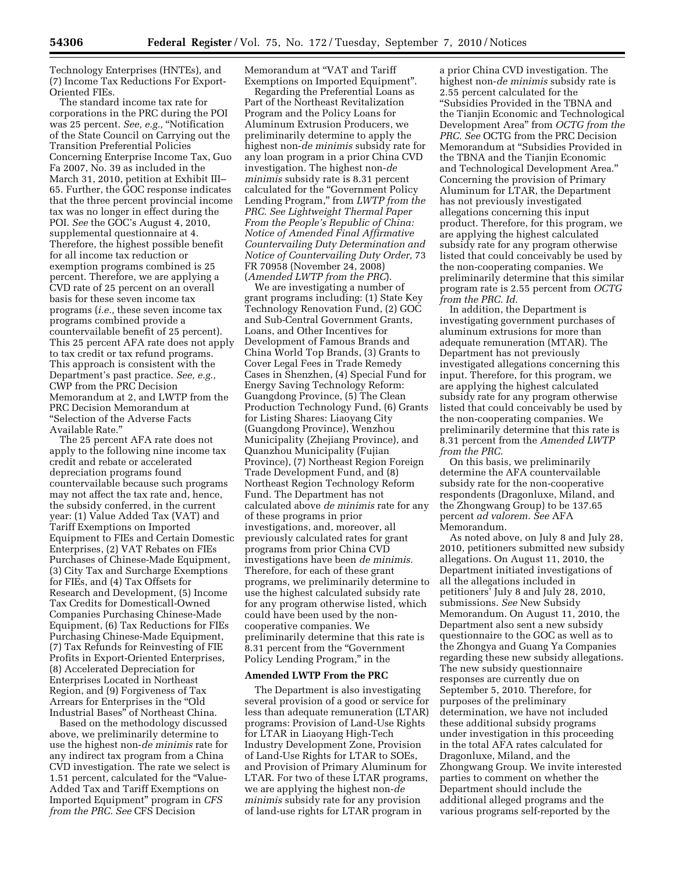Technology Enterprises (HNTEs), and (7) Income Tax Reductions For Export-Oriented FIEs.

The standard income tax rate for corporations in the PRC during the POI was 25 percent. *See, e.g.*, "Notification of the State Council on Carrying out the Transition Preferential Policies Concerning Enterprise Income Tax, Guo Fa 2007, No. 39 as included in the March 31, 2010, petition at Exhibit III– 65. Further, the GOC response indicates that the three percent provincial income tax was no longer in effect during the POI. *See* the GOC's August 4, 2010, supplemental questionnaire at 4. Therefore, the highest possible benefit for all income tax reduction or exemption programs combined is 25 percent. Therefore, we are applying a CVD rate of 25 percent on an overall basis for these seven income tax programs (*i.e.,* these seven income tax programs combined provide a countervailable benefit of 25 percent). This 25 percent AFA rate does not apply to tax credit or tax refund programs. This approach is consistent with the Department's past practice. *See, e.g.,*  CWP from the PRC Decision Memorandum at 2, and LWTP from the PRC Decision Memorandum at ''Selection of the Adverse Facts Available Rate.''

The 25 percent AFA rate does not apply to the following nine income tax credit and rebate or accelerated depreciation programs found countervailable because such programs may not affect the tax rate and, hence, the subsidy conferred, in the current year: (1) Value Added Tax (VAT) and Tariff Exemptions on Imported Equipment to FIEs and Certain Domestic Enterprises, (2) VAT Rebates on FIEs Purchases of Chinese-Made Equipment, (3) City Tax and Surcharge Exemptions for FIEs, and (4) Tax Offsets for Research and Development, (5) Income Tax Credits for Domesticall-Owned Companies Purchasing Chinese-Made Equipment, (6) Tax Reductions for FIEs Purchasing Chinese-Made Equipment, (7) Tax Refunds for Reinvesting of FIE Profits in Export-Oriented Enterprises, (8) Accelerated Depreciation for Enterprises Located in Northeast Region, and (9) Forgiveness of Tax Arrears for Enterprises in the ''Old Industrial Bases'' of Northeast China.

Based on the methodology discussed above, we preliminarily determine to use the highest non-*de minimis* rate for any indirect tax program from a China CVD investigation. The rate we select is 1.51 percent, calculated for the "Value-Added Tax and Tariff Exemptions on Imported Equipment'' program in *CFS from the PRC. See* CFS Decision

Memorandum at ''VAT and Tariff Exemptions on Imported Equipment''.

Regarding the Preferential Loans as Part of the Northeast Revitalization Program and the Policy Loans for Aluminum Extrusion Producers, we preliminarily determine to apply the highest non-*de minimis* subsidy rate for any loan program in a prior China CVD investigation. The highest non-*de minimis* subsidy rate is 8.31 percent calculated for the ''Government Policy Lending Program,'' from *LWTP from the PRC. See Lightweight Thermal Paper From the People's Republic of China: Notice of Amended Final Affirmative Countervailing Duty Determination and Notice of Countervailing Duty Order,* 73 FR 70958 (November 24, 2008) (*Amended LWTP from the PRC*).

We are investigating a number of grant programs including: (1) State Key Technology Renovation Fund, (2) GOC and Sub-Central Government Grants, Loans, and Other Incentives for Development of Famous Brands and China World Top Brands, (3) Grants to Cover Legal Fees in Trade Remedy Cases in Shenzhen, (4) Special Fund for Energy Saving Technology Reform: Guangdong Province, (5) The Clean Production Technology Fund, (6) Grants for Listing Shares: Liaoyang City (Guangdong Province), Wenzhou Municipality (Zhejiang Province), and Quanzhou Municipality (Fujian Province), (7) Northeast Region Foreign Trade Development Fund, and (8) Northeast Region Technology Reform Fund. The Department has not calculated above *de minimis* rate for any of these programs in prior investigations, and, moreover, all previously calculated rates for grant programs from prior China CVD investigations have been *de minimis.*  Therefore, for each of these grant programs, we preliminarily determine to use the highest calculated subsidy rate for any program otherwise listed, which could have been used by the noncooperative companies. We preliminarily determine that this rate is 8.31 percent from the "Government Policy Lending Program,'' in the

#### **Amended LWTP From the PRC**

The Department is also investigating several provision of a good or service for less than adequate remuneration (LTAR) programs: Provision of Land-Use Rights for LTAR in Liaoyang High-Tech Industry Development Zone, Provision of Land-Use Rights for LTAR to SOEs, and Provision of Primary Aluminum for LTAR. For two of these LTAR programs, we are applying the highest non-*de minimis* subsidy rate for any provision of land-use rights for LTAR program in

a prior China CVD investigation. The highest non-*de minimis* subsidy rate is 2.55 percent calculated for the ''Subsidies Provided in the TBNA and the Tianjin Economic and Technological Development Area'' from *OCTG from the PRC. See* OCTG from the PRC Decision Memorandum at ''Subsidies Provided in the TBNA and the Tianjin Economic and Technological Development Area.'' Concerning the provision of Primary Aluminum for LTAR, the Department has not previously investigated allegations concerning this input product. Therefore, for this program, we are applying the highest calculated subsidy rate for any program otherwise listed that could conceivably be used by the non-cooperating companies. We preliminarily determine that this similar program rate is 2.55 percent from *OCTG from the PRC. Id.* 

In addition, the Department is investigating government purchases of aluminum extrusions for more than adequate remuneration (MTAR). The Department has not previously investigated allegations concerning this input. Therefore, for this program, we are applying the highest calculated subsidy rate for any program otherwise listed that could conceivably be used by the non-cooperating companies. We preliminarily determine that this rate is 8.31 percent from the *Amended LWTP from the PRC.* 

On this basis, we preliminarily determine the AFA countervailable subsidy rate for the non-cooperative respondents (Dragonluxe, Miland, and the Zhongwang Group) to be 137.65 percent *ad valorem. See* AFA Memorandum.

As noted above, on July 8 and July 28, 2010, petitioners submitted new subsidy allegations. On August 11, 2010, the Department initiated investigations of all the allegations included in petitioners' July 8 and July 28, 2010, submissions. *See* New Subsidy Memorandum. On August 11, 2010, the Department also sent a new subsidy questionnaire to the GOC as well as to the Zhongya and Guang Ya Companies regarding these new subsidy allegations. The new subsidy questionnaire responses are currently due on September 5, 2010. Therefore, for purposes of the preliminary determination, we have not included these additional subsidy programs under investigation in this proceeding in the total AFA rates calculated for Dragonluxe, Miland, and the Zhongwang Group. We invite interested parties to comment on whether the Department should include the additional alleged programs and the various programs self-reported by the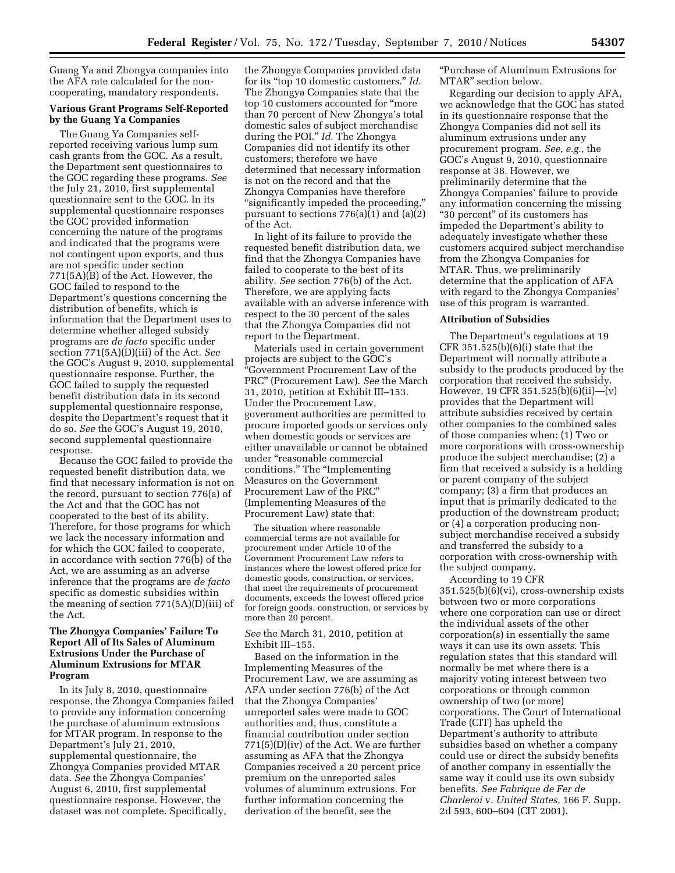Guang Ya and Zhongya companies into the AFA rate calculated for the noncooperating, mandatory respondents.

# **Various Grant Programs Self-Reported by the Guang Ya Companies**

The Guang Ya Companies selfreported receiving various lump sum cash grants from the GOC. As a result, the Department sent questionnaires to the GOC regarding these programs. *See*  the July 21, 2010, first supplemental questionnaire sent to the GOC. In its supplemental questionnaire responses the GOC provided information concerning the nature of the programs and indicated that the programs were not contingent upon exports, and thus are not specific under section 771(5A)(B) of the Act. However, the GOC failed to respond to the Department's questions concerning the distribution of benefits, which is information that the Department uses to determine whether alleged subsidy programs are *de facto* specific under section 771(5A)(D)(iii) of the Act. *See*  the GOC's August 9, 2010, supplemental questionnaire response. Further, the GOC failed to supply the requested benefit distribution data in its second supplemental questionnaire response, despite the Department's request that it do so. *See* the GOC's August 19, 2010, second supplemental questionnaire response.

Because the GOC failed to provide the requested benefit distribution data, we find that necessary information is not on the record, pursuant to section 776(a) of the Act and that the GOC has not cooperated to the best of its ability. Therefore, for those programs for which we lack the necessary information and for which the GOC failed to cooperate, in accordance with section 776(b) of the Act, we are assuming as an adverse inference that the programs are *de facto*  specific as domestic subsidies within the meaning of section 771(5A)(D)(iii) of the Act.

# **The Zhongya Companies' Failure To Report All of Its Sales of Aluminum Extrusions Under the Purchase of Aluminum Extrusions for MTAR Program**

In its July 8, 2010, questionnaire response, the Zhongya Companies failed to provide any information concerning the purchase of aluminum extrusions for MTAR program. In response to the Department's July 21, 2010, supplemental questionnaire, the Zhongya Companies provided MTAR data. *See* the Zhongya Companies' August 6, 2010, first supplemental questionnaire response. However, the dataset was not complete. Specifically,

the Zhongya Companies provided data for its ''top 10 domestic customers.'' *Id.*  The Zhongya Companies state that the top 10 customers accounted for ''more than 70 percent of New Zhongya's total domestic sales of subject merchandise during the POI.'' *Id.* The Zhongya Companies did not identify its other customers; therefore we have determined that necessary information is not on the record and that the Zhongya Companies have therefore ''significantly impeded the proceeding,'' pursuant to sections 776(a)(1) and (a)(2) of the Act.

In light of its failure to provide the requested benefit distribution data, we find that the Zhongya Companies have failed to cooperate to the best of its ability. *See* section 776(b) of the Act. Therefore, we are applying facts available with an adverse inference with respect to the 30 percent of the sales that the Zhongya Companies did not report to the Department.

Materials used in certain government projects are subject to the GOC's ''Government Procurement Law of the PRC'' (Procurement Law). *See* the March 31, 2010, petition at Exhibit III–153. Under the Procurement Law, government authorities are permitted to procure imported goods or services only when domestic goods or services are either unavailable or cannot be obtained under ''reasonable commercial conditions.'' The ''Implementing Measures on the Government Procurement Law of the PRC'' (Implementing Measures of the Procurement Law) state that:

The situation where reasonable commercial terms are not available for procurement under Article 10 of the Government Procurement Law refers to instances where the lowest offered price for domestic goods, construction, or services, that meet the requirements of procurement documents, exceeds the lowest offered price for foreign goods, construction, or services by more than 20 percent.

*See* the March 31, 2010, petition at Exhibit III–155.

Based on the information in the Implementing Measures of the Procurement Law, we are assuming as AFA under section 776(b) of the Act that the Zhongya Companies' unreported sales were made to GOC authorities and, thus, constitute a financial contribution under section  $771(5)(D)(iv)$  of the Act. We are further assuming as AFA that the Zhongya Companies received a 20 percent price premium on the unreported sales volumes of aluminum extrusions. For further information concerning the derivation of the benefit, see the

''Purchase of Aluminum Extrusions for MTAR'' section below.

Regarding our decision to apply AFA, we acknowledge that the GOC has stated in its questionnaire response that the Zhongya Companies did not sell its aluminum extrusions under any procurement program. *See, e.g.,* the GOC's August 9, 2010, questionnaire response at 38. However, we preliminarily determine that the Zhongya Companies' failure to provide any information concerning the missing "30 percent" of its customers has impeded the Department's ability to adequately investigate whether these customers acquired subject merchandise from the Zhongya Companies for MTAR. Thus, we preliminarily determine that the application of AFA with regard to the Zhongya Companies' use of this program is warranted.

#### **Attribution of Subsidies**

The Department's regulations at 19 CFR 351.525(b)(6)(i) state that the Department will normally attribute a subsidy to the products produced by the corporation that received the subsidy. However, 19 CFR 351.525(b)(6)(ii)—(v) provides that the Department will attribute subsidies received by certain other companies to the combined sales of those companies when: (1) Two or more corporations with cross-ownership produce the subject merchandise; (2) a firm that received a subsidy is a holding or parent company of the subject company; (3) a firm that produces an input that is primarily dedicated to the production of the downstream product; or (4) a corporation producing nonsubject merchandise received a subsidy and transferred the subsidy to a corporation with cross-ownership with the subject company.

According to 19 CFR 351.525(b)(6)(vi), cross-ownership exists between two or more corporations where one corporation can use or direct the individual assets of the other corporation(s) in essentially the same ways it can use its own assets. This regulation states that this standard will normally be met where there is a majority voting interest between two corporations or through common ownership of two (or more) corporations. The Court of International Trade (CIT) has upheld the Department's authority to attribute subsidies based on whether a company could use or direct the subsidy benefits of another company in essentially the same way it could use its own subsidy benefits. *See Fabrique de Fer de Charleroi* v. *United States,* 166 F. Supp. 2d 593, 600–604 (CIT 2001).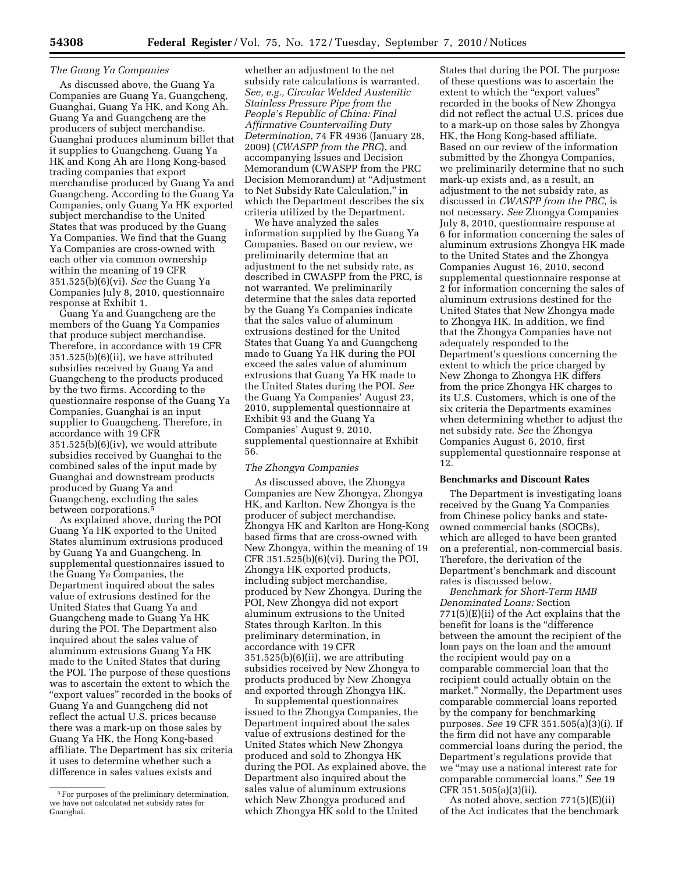### *The Guang Ya Companies*

As discussed above, the Guang Ya Companies are Guang Ya, Guangcheng, Guanghai, Guang Ya HK, and Kong Ah. Guang Ya and Guangcheng are the producers of subject merchandise. Guanghai produces aluminum billet that it supplies to Guangcheng. Guang Ya HK and Kong Ah are Hong Kong-based trading companies that export merchandise produced by Guang Ya and Guangcheng. According to the Guang Ya Companies, only Guang Ya HK exported subject merchandise to the United States that was produced by the Guang Ya Companies. We find that the Guang Ya Companies are cross-owned with each other via common ownership within the meaning of 19 CFR 351.525(b)(6)(vi). *See* the Guang Ya Companies July 8, 2010, questionnaire response at Exhibit 1.

Guang Ya and Guangcheng are the members of the Guang Ya Companies that produce subject merchandise. Therefore, in accordance with 19 CFR 351.525(b)(6)(ii), we have attributed subsidies received by Guang Ya and Guangcheng to the products produced by the two firms. According to the questionnaire response of the Guang Ya Companies, Guanghai is an input supplier to Guangcheng. Therefore, in accordance with 19 CFR  $351.525(b)(6)(iv)$ , we would attribute subsidies received by Guanghai to the combined sales of the input made by Guanghai and downstream products produced by Guang Ya and Guangcheng, excluding the sales between corporations.5

As explained above, during the POI Guang Ya HK exported to the United States aluminum extrusions produced by Guang Ya and Guangcheng. In supplemental questionnaires issued to the Guang Ya Companies, the Department inquired about the sales value of extrusions destined for the United States that Guang Ya and Guangcheng made to Guang Ya HK during the POI. The Department also inquired about the sales value of aluminum extrusions Guang Ya HK made to the United States that during the POI. The purpose of these questions was to ascertain the extent to which the ''export values'' recorded in the books of Guang Ya and Guangcheng did not reflect the actual U.S. prices because there was a mark-up on those sales by Guang Ya HK, the Hong Kong-based affiliate. The Department has six criteria it uses to determine whether such a difference in sales values exists and

whether an adjustment to the net subsidy rate calculations is warranted. *See, e.g., Circular Welded Austenitic Stainless Pressure Pipe from the People's Republic of China: Final Affirmative Countervailing Duty Determination,* 74 FR 4936 (January 28, 2009) (*CWASPP from the PRC*), and accompanying Issues and Decision Memorandum (CWASPP from the PRC Decision Memorandum) at ''Adjustment to Net Subsidy Rate Calculation,'' in which the Department describes the six criteria utilized by the Department.

We have analyzed the sales information supplied by the Guang Ya Companies. Based on our review, we preliminarily determine that an adjustment to the net subsidy rate, as described in CWASPP from the PRC, is not warranted. We preliminarily determine that the sales data reported by the Guang Ya Companies indicate that the sales value of aluminum extrusions destined for the United States that Guang Ya and Guangcheng made to Guang Ya HK during the POI exceed the sales value of aluminum extrusions that Guang Ya HK made to the United States during the POI. *See*  the Guang Ya Companies' August 23, 2010, supplemental questionnaire at Exhibit 93 and the Guang Ya Companies' August 9, 2010, supplemental questionnaire at Exhibit 56.

#### *The Zhongya Companies*

As discussed above, the Zhongya Companies are New Zhongya, Zhongya HK, and Karlton. New Zhongya is the producer of subject merchandise. Zhongya HK and Karlton are Hong-Kong based firms that are cross-owned with New Zhongya, within the meaning of 19 CFR 351.525(b)(6)(vi). During the POI, Zhongya HK exported products, including subject merchandise, produced by New Zhongya. During the POI, New Zhongya did not export aluminum extrusions to the United States through Karlton. In this preliminary determination, in accordance with 19 CFR  $351.525(b)(6)(ii)$ , we are attributing subsidies received by New Zhongya to products produced by New Zhongya and exported through Zhongya HK.

In supplemental questionnaires issued to the Zhongya Companies, the Department inquired about the sales value of extrusions destined for the United States which New Zhongya produced and sold to Zhongya HK during the POI. As explained above, the Department also inquired about the sales value of aluminum extrusions which New Zhongya produced and which Zhongya HK sold to the United

States that during the POI. The purpose of these questions was to ascertain the extent to which the "export values" recorded in the books of New Zhongya did not reflect the actual U.S. prices due to a mark-up on those sales by Zhongya HK, the Hong Kong-based affiliate. Based on our review of the information submitted by the Zhongya Companies, we preliminarily determine that no such mark-up exists and, as a result, an adjustment to the net subsidy rate, as discussed in *CWASPP from the PRC,* is not necessary. *See* Zhongya Companies July 8, 2010, questionnaire response at 6 for information concerning the sales of aluminum extrusions Zhongya HK made to the United States and the Zhongya Companies August 16, 2010, second supplemental questionnaire response at 2 for information concerning the sales of aluminum extrusions destined for the United States that New Zhongya made to Zhongya HK. In addition, we find that the Zhongya Companies have not adequately responded to the Department's questions concerning the extent to which the price charged by New Zhonga to Zhongya HK differs from the price Zhongya HK charges to its U.S. Customers, which is one of the six criteria the Departments examines when determining whether to adjust the net subsidy rate. *See* the Zhongya Companies August 6, 2010, first supplemental questionnaire response at 12.

### **Benchmarks and Discount Rates**

The Department is investigating loans received by the Guang Ya Companies from Chinese policy banks and stateowned commercial banks (SOCBs), which are alleged to have been granted on a preferential, non-commercial basis. Therefore, the derivation of the Department's benchmark and discount rates is discussed below.

*Benchmark for Short-Term RMB Denominated Loans:* Section 771(5)(E)(ii) of the Act explains that the benefit for loans is the ''difference between the amount the recipient of the loan pays on the loan and the amount the recipient would pay on a comparable commercial loan that the recipient could actually obtain on the market.'' Normally, the Department uses comparable commercial loans reported by the company for benchmarking purposes. *See* 19 CFR 351.505(a)(3)(i). If the firm did not have any comparable commercial loans during the period, the Department's regulations provide that we ''may use a national interest rate for comparable commercial loans.'' *See* 19 CFR 351.505(a)(3)(ii).

As noted above, section 771(5)(E)(ii) of the Act indicates that the benchmark

<sup>5</sup>For purposes of the preliminary determination, we have not calculated net subsidy rates for Guanghai.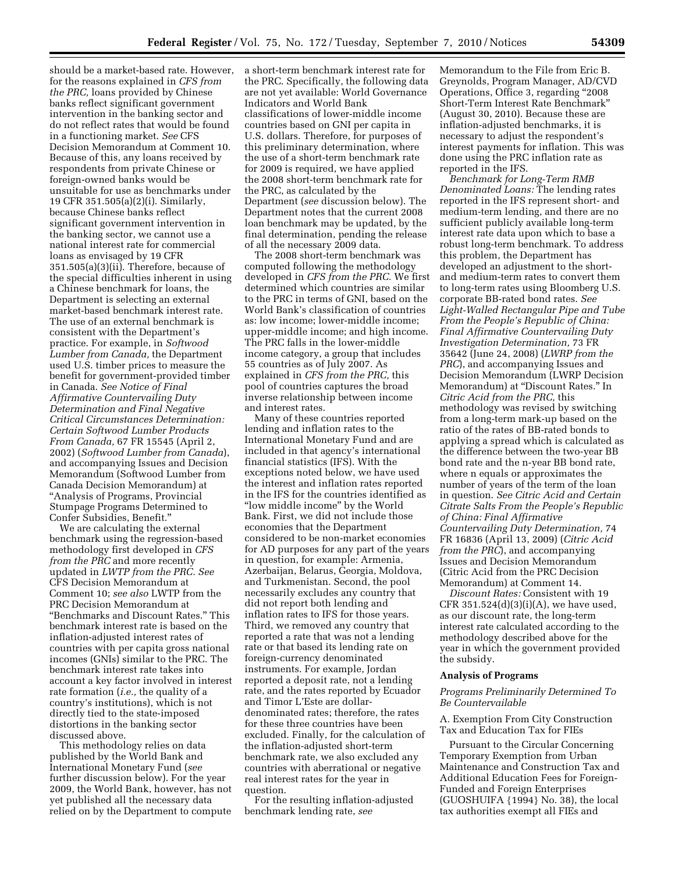should be a market-based rate. However, for the reasons explained in *CFS from the PRC,* loans provided by Chinese banks reflect significant government intervention in the banking sector and do not reflect rates that would be found in a functioning market. *See* CFS Decision Memorandum at Comment 10. Because of this, any loans received by respondents from private Chinese or foreign-owned banks would be unsuitable for use as benchmarks under 19 CFR 351.505(a)(2)(i). Similarly, because Chinese banks reflect significant government intervention in the banking sector, we cannot use a national interest rate for commercial loans as envisaged by 19 CFR 351.505(a)(3)(ii). Therefore, because of the special difficulties inherent in using a Chinese benchmark for loans, the Department is selecting an external market-based benchmark interest rate. The use of an external benchmark is consistent with the Department's practice. For example, in *Softwood Lumber from Canada,* the Department used U.S. timber prices to measure the benefit for government-provided timber in Canada. *See Notice of Final Affirmative Countervailing Duty Determination and Final Negative Critical Circumstances Determination: Certain Softwood Lumber Products From Canada,* 67 FR 15545 (April 2, 2002) (*Softwood Lumber from Canada*), and accompanying Issues and Decision Memorandum (Softwood Lumber from Canada Decision Memorandum) at ''Analysis of Programs, Provincial Stumpage Programs Determined to Confer Subsidies, Benefit.''

We are calculating the external benchmark using the regression-based methodology first developed in *CFS from the PRC* and more recently updated in *LWTP from the PRC. See*  CFS Decision Memorandum at Comment 10; *see also* LWTP from the PRC Decision Memorandum at ''Benchmarks and Discount Rates.'' This benchmark interest rate is based on the inflation-adjusted interest rates of countries with per capita gross national incomes (GNIs) similar to the PRC. The benchmark interest rate takes into account a key factor involved in interest rate formation (*i.e.,* the quality of a country's institutions), which is not directly tied to the state-imposed distortions in the banking sector discussed above.

This methodology relies on data published by the World Bank and International Monetary Fund (*see*  further discussion below). For the year 2009, the World Bank, however, has not yet published all the necessary data relied on by the Department to compute

a short-term benchmark interest rate for the PRC. Specifically, the following data are not yet available: World Governance Indicators and World Bank classifications of lower-middle income countries based on GNI per capita in U.S. dollars. Therefore, for purposes of this preliminary determination, where the use of a short-term benchmark rate for 2009 is required, we have applied the 2008 short-term benchmark rate for the PRC, as calculated by the Department (*see* discussion below). The Department notes that the current 2008 loan benchmark may be updated, by the final determination, pending the release of all the necessary 2009 data.

The 2008 short-term benchmark was computed following the methodology developed in *CFS from the PRC.* We first determined which countries are similar to the PRC in terms of GNI, based on the World Bank's classification of countries as: low income; lower-middle income; upper-middle income; and high income. The PRC falls in the lower-middle income category, a group that includes 55 countries as of July 2007. As explained in *CFS from the PRC,* this pool of countries captures the broad inverse relationship between income and interest rates.

Many of these countries reported lending and inflation rates to the International Monetary Fund and are included in that agency's international financial statistics (IFS). With the exceptions noted below, we have used the interest and inflation rates reported in the IFS for the countries identified as "low middle income" by the World Bank. First, we did not include those economies that the Department considered to be non-market economies for AD purposes for any part of the years in question, for example: Armenia, Azerbaijan, Belarus, Georgia, Moldova, and Turkmenistan. Second, the pool necessarily excludes any country that did not report both lending and inflation rates to IFS for those years. Third, we removed any country that reported a rate that was not a lending rate or that based its lending rate on foreign-currency denominated instruments. For example, Jordan reported a deposit rate, not a lending rate, and the rates reported by Ecuador and Timor L'Este are dollardenominated rates; therefore, the rates for these three countries have been excluded. Finally, for the calculation of the inflation-adjusted short-term benchmark rate, we also excluded any countries with aberrational or negative real interest rates for the year in question.

For the resulting inflation-adjusted benchmark lending rate, *see* 

Memorandum to the File from Eric B. Greynolds, Program Manager, AD/CVD Operations, Office 3, regarding ''2008 Short-Term Interest Rate Benchmark'' (August 30, 2010). Because these are inflation-adjusted benchmarks, it is necessary to adjust the respondent's interest payments for inflation. This was done using the PRC inflation rate as reported in the IFS.

*Benchmark for Long-Term RMB Denominated Loans:* The lending rates reported in the IFS represent short- and medium-term lending, and there are no sufficient publicly available long-term interest rate data upon which to base a robust long-term benchmark. To address this problem, the Department has developed an adjustment to the shortand medium-term rates to convert them to long-term rates using Bloomberg U.S. corporate BB-rated bond rates. *See Light-Walled Rectangular Pipe and Tube From the People's Republic of China: Final Affirmative Countervailing Duty Investigation Determination,* 73 FR 35642 (June 24, 2008) (*LWRP from the PRC*), and accompanying Issues and Decision Memorandum (LWRP Decision Memorandum) at ''Discount Rates.'' In *Citric Acid from the PRC,* this methodology was revised by switching from a long-term mark-up based on the ratio of the rates of BB-rated bonds to applying a spread which is calculated as the difference between the two-year BB bond rate and the n-year BB bond rate, where n equals or approximates the number of years of the term of the loan in question. *See Citric Acid and Certain Citrate Salts From the People's Republic of China: Final Affirmative Countervailing Duty Determination,* 74 FR 16836 (April 13, 2009) (*Citric Acid from the PRC*), and accompanying Issues and Decision Memorandum (Citric Acid from the PRC Decision Memorandum) at Comment 14.

*Discount Rates:* Consistent with 19 CFR  $351.524(d)(3)(i)(A)$ , we have used, as our discount rate, the long-term interest rate calculated according to the methodology described above for the year in which the government provided the subsidy.

#### **Analysis of Programs**

# *Programs Preliminarily Determined To Be Countervailable*

A. Exemption From City Construction Tax and Education Tax for FIEs

Pursuant to the Circular Concerning Temporary Exemption from Urban Maintenance and Construction Tax and Additional Education Fees for Foreign-Funded and Foreign Enterprises (GUOSHUIFA {1994} No. 38), the local tax authorities exempt all FIEs and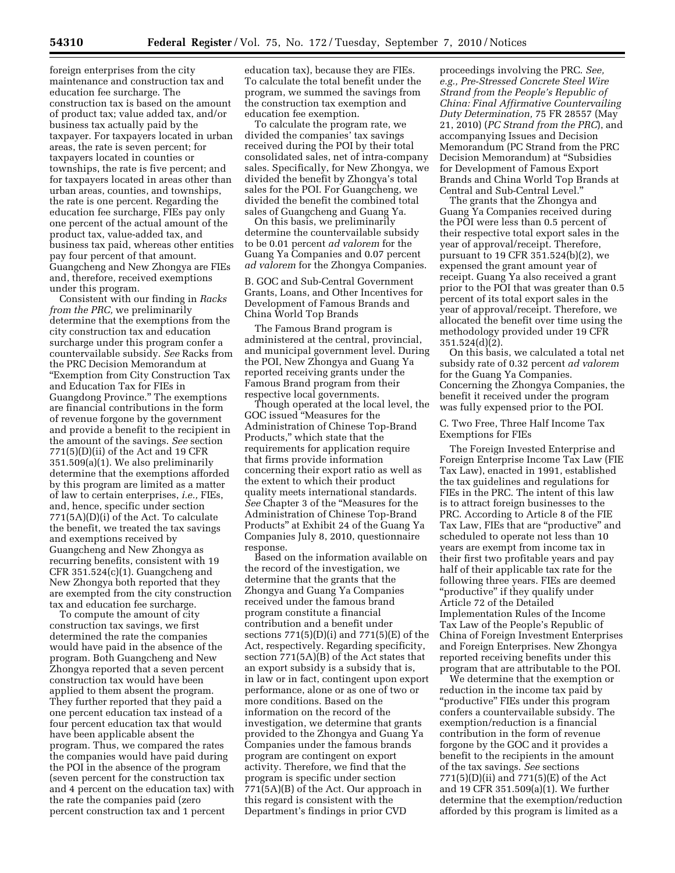foreign enterprises from the city maintenance and construction tax and education fee surcharge. The construction tax is based on the amount of product tax; value added tax, and/or business tax actually paid by the taxpayer. For taxpayers located in urban areas, the rate is seven percent; for taxpayers located in counties or townships, the rate is five percent; and for taxpayers located in areas other than urban areas, counties, and townships, the rate is one percent. Regarding the education fee surcharge, FIEs pay only one percent of the actual amount of the product tax, value-added tax, and business tax paid, whereas other entities pay four percent of that amount. Guangcheng and New Zhongya are FIEs and, therefore, received exemptions under this program.

Consistent with our finding in *Racks from the PRC,* we preliminarily determine that the exemptions from the city construction tax and education surcharge under this program confer a countervailable subsidy. *See* Racks from the PRC Decision Memorandum at ''Exemption from City Construction Tax and Education Tax for FIEs in Guangdong Province.'' The exemptions are financial contributions in the form of revenue forgone by the government and provide a benefit to the recipient in the amount of the savings. *See* section 771(5)(D)(ii) of the Act and 19 CFR 351.509(a)(1). We also preliminarily determine that the exemptions afforded by this program are limited as a matter of law to certain enterprises, *i.e.,* FIEs, and, hence, specific under section 771(5A)(D)(i) of the Act. To calculate the benefit, we treated the tax savings and exemptions received by Guangcheng and New Zhongya as recurring benefits, consistent with 19 CFR 351.524(c)(1). Guangcheng and New Zhongya both reported that they are exempted from the city construction tax and education fee surcharge.

To compute the amount of city construction tax savings, we first determined the rate the companies would have paid in the absence of the program. Both Guangcheng and New Zhongya reported that a seven percent construction tax would have been applied to them absent the program. They further reported that they paid a one percent education tax instead of a four percent education tax that would have been applicable absent the program. Thus, we compared the rates the companies would have paid during the POI in the absence of the program (seven percent for the construction tax and 4 percent on the education tax) with the rate the companies paid (zero percent construction tax and 1 percent

education tax), because they are FIEs. To calculate the total benefit under the program, we summed the savings from the construction tax exemption and education fee exemption.

To calculate the program rate, we divided the companies' tax savings received during the POI by their total consolidated sales, net of intra-company sales. Specifically, for New Zhongya, we divided the benefit by Zhongya's total sales for the POI. For Guangcheng, we divided the benefit the combined total sales of Guangcheng and Guang Ya.

On this basis, we preliminarily determine the countervailable subsidy to be 0.01 percent *ad valorem* for the Guang Ya Companies and 0.07 percent *ad valorem* for the Zhongya Companies.

B. GOC and Sub-Central Government Grants, Loans, and Other Incentives for Development of Famous Brands and China World Top Brands

The Famous Brand program is administered at the central, provincial, and municipal government level. During the POI, New Zhongya and Guang Ya reported receiving grants under the Famous Brand program from their respective local governments.

Though operated at the local level, the GOC issued ''Measures for the Administration of Chinese Top-Brand Products,'' which state that the requirements for application require that firms provide information concerning their export ratio as well as the extent to which their product quality meets international standards. *See* Chapter 3 of the ''Measures for the Administration of Chinese Top-Brand Products'' at Exhibit 24 of the Guang Ya Companies July 8, 2010, questionnaire response.

Based on the information available on the record of the investigation, we determine that the grants that the Zhongya and Guang Ya Companies received under the famous brand program constitute a financial contribution and a benefit under sections  $771(5)(D)(i)$  and  $771(5)(E)$  of the Act, respectively. Regarding specificity, section 771(5A)(B) of the Act states that an export subsidy is a subsidy that is, in law or in fact, contingent upon export performance, alone or as one of two or more conditions. Based on the information on the record of the investigation, we determine that grants provided to the Zhongya and Guang Ya Companies under the famous brands program are contingent on export activity. Therefore, we find that the program is specific under section 771(5A)(B) of the Act. Our approach in this regard is consistent with the Department's findings in prior CVD

proceedings involving the PRC. *See, e.g., Pre-Stressed Concrete Steel Wire Strand from the People's Republic of China: Final Affirmative Countervailing Duty Determination,* 75 FR 28557 (May 21, 2010) (*PC Strand from the PRC*), and accompanying Issues and Decision Memorandum (PC Strand from the PRC Decision Memorandum) at ''Subsidies for Development of Famous Export Brands and China World Top Brands at Central and Sub-Central Level.''

The grants that the Zhongya and Guang Ya Companies received during the POI were less than 0.5 percent of their respective total export sales in the year of approval/receipt. Therefore, pursuant to 19 CFR 351.524(b)(2), we expensed the grant amount year of receipt. Guang Ya also received a grant prior to the POI that was greater than 0.5 percent of its total export sales in the year of approval/receipt. Therefore, we allocated the benefit over time using the methodology provided under 19 CFR 351.524(d)(2).

On this basis, we calculated a total net subsidy rate of 0.32 percent *ad valorem*  for the Guang Ya Companies. Concerning the Zhongya Companies, the benefit it received under the program was fully expensed prior to the POI.

C. Two Free, Three Half Income Tax Exemptions for FIEs

The Foreign Invested Enterprise and Foreign Enterprise Income Tax Law (FIE Tax Law), enacted in 1991, established the tax guidelines and regulations for FIEs in the PRC. The intent of this law is to attract foreign businesses to the PRC. According to Article 8 of the FIE Tax Law, FIEs that are "productive" and scheduled to operate not less than 10 years are exempt from income tax in their first two profitable years and pay half of their applicable tax rate for the following three years. FIEs are deemed "productive" if they qualify under Article 72 of the Detailed Implementation Rules of the Income Tax Law of the People's Republic of China of Foreign Investment Enterprises and Foreign Enterprises. New Zhongya reported receiving benefits under this program that are attributable to the POI.

We determine that the exemption or reduction in the income tax paid by ''productive'' FIEs under this program confers a countervailable subsidy. The exemption/reduction is a financial contribution in the form of revenue forgone by the GOC and it provides a benefit to the recipients in the amount of the tax savings. *See* sections 771(5)(D)(ii) and 771(5)(E) of the Act and 19 CFR 351.509(a)(1). We further determine that the exemption/reduction afforded by this program is limited as a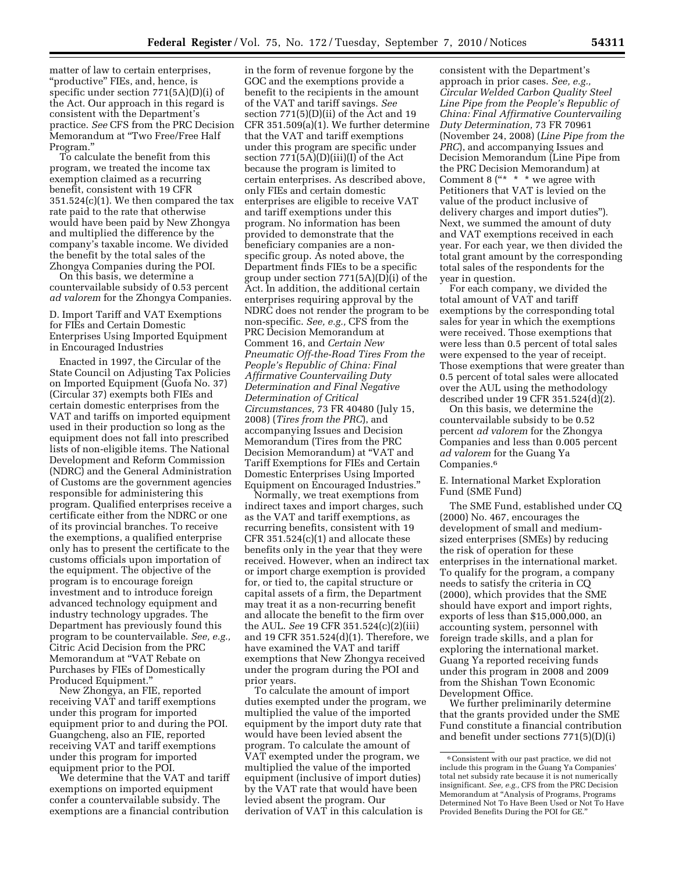matter of law to certain enterprises, ''productive'' FIEs, and, hence, is specific under section 771(5A)(D)(i) of the Act. Our approach in this regard is consistent with the Department's practice. *See* CFS from the PRC Decision Memorandum at ''Two Free/Free Half Program.''

To calculate the benefit from this program, we treated the income tax exemption claimed as a recurring benefit, consistent with 19 CFR  $351.524(c)(1)$ . We then compared the tax rate paid to the rate that otherwise would have been paid by New Zhongya and multiplied the difference by the company's taxable income. We divided the benefit by the total sales of the Zhongya Companies during the POI.

On this basis, we determine a countervailable subsidy of 0.53 percent *ad valorem* for the Zhongya Companies.

D. Import Tariff and VAT Exemptions for FIEs and Certain Domestic Enterprises Using Imported Equipment in Encouraged Industries

Enacted in 1997, the Circular of the State Council on Adjusting Tax Policies on Imported Equipment (Guofa No. 37) (Circular 37) exempts both FIEs and certain domestic enterprises from the VAT and tariffs on imported equipment used in their production so long as the equipment does not fall into prescribed lists of non-eligible items. The National Development and Reform Commission (NDRC) and the General Administration of Customs are the government agencies responsible for administering this program. Qualified enterprises receive a certificate either from the NDRC or one of its provincial branches. To receive the exemptions, a qualified enterprise only has to present the certificate to the customs officials upon importation of the equipment. The objective of the program is to encourage foreign investment and to introduce foreign advanced technology equipment and industry technology upgrades. The Department has previously found this program to be countervailable. *See, e.g.,*  Citric Acid Decision from the PRC Memorandum at ''VAT Rebate on Purchases by FIEs of Domestically Produced Equipment.

New Zhongya, an FIE, reported receiving VAT and tariff exemptions under this program for imported equipment prior to and during the POI. Guangcheng, also an FIE, reported receiving VAT and tariff exemptions under this program for imported equipment prior to the POI.

We determine that the VAT and tariff exemptions on imported equipment confer a countervailable subsidy. The exemptions are a financial contribution

in the form of revenue forgone by the GOC and the exemptions provide a benefit to the recipients in the amount of the VAT and tariff savings. *See*  section 771(5)(D)(ii) of the Act and 19 CFR 351.509(a)(1). We further determine that the VAT and tariff exemptions under this program are specific under section 771(5A)(D)(iii)(I) of the Act because the program is limited to certain enterprises. As described above, only FIEs and certain domestic enterprises are eligible to receive VAT and tariff exemptions under this program. No information has been provided to demonstrate that the beneficiary companies are a nonspecific group. As noted above, the Department finds FIEs to be a specific group under section 771(5A)(D)(i) of the Act. In addition, the additional certain enterprises requiring approval by the NDRC does not render the program to be non-specific. *See, e.g.,* CFS from the PRC Decision Memorandum at Comment 16, and *Certain New Pneumatic Off-the-Road Tires From the People's Republic of China: Final Affirmative Countervailing Duty Determination and Final Negative Determination of Critical Circumstances,* 73 FR 40480 (July 15, 2008) (*Tires from the PRC*), and accompanying Issues and Decision Memorandum (Tires from the PRC Decision Memorandum) at ''VAT and Tariff Exemptions for FIEs and Certain Domestic Enterprises Using Imported Equipment on Encouraged Industries.''

Normally, we treat exemptions from indirect taxes and import charges, such as the VAT and tariff exemptions, as recurring benefits, consistent with 19 CFR 351.524(c)(1) and allocate these benefits only in the year that they were received. However, when an indirect tax or import charge exemption is provided for, or tied to, the capital structure or capital assets of a firm, the Department may treat it as a non-recurring benefit and allocate the benefit to the firm over the AUL. *See* 19 CFR 351.524(c)(2)(iii) and 19 CFR 351.524(d)(1). Therefore, we have examined the VAT and tariff exemptions that New Zhongya received under the program during the POI and prior years.

To calculate the amount of import duties exempted under the program, we multiplied the value of the imported equipment by the import duty rate that would have been levied absent the program. To calculate the amount of VAT exempted under the program, we multiplied the value of the imported equipment (inclusive of import duties) by the VAT rate that would have been levied absent the program. Our derivation of VAT in this calculation is

consistent with the Department's approach in prior cases. *See, e.g., Circular Welded Carbon Quality Steel Line Pipe from the People's Republic of China: Final Affirmative Countervailing Duty Determination,* 73 FR 70961 (November 24, 2008) (*Line Pipe from the PRC*), and accompanying Issues and Decision Memorandum (Line Pipe from the PRC Decision Memorandum) at Comment 8  $($ "\* \* \* we agree with Petitioners that VAT is levied on the value of the product inclusive of delivery charges and import duties''). Next, we summed the amount of duty and VAT exemptions received in each year. For each year, we then divided the total grant amount by the corresponding total sales of the respondents for the year in question.

For each company, we divided the total amount of VAT and tariff exemptions by the corresponding total sales for year in which the exemptions were received. Those exemptions that were less than 0.5 percent of total sales were expensed to the year of receipt. Those exemptions that were greater than 0.5 percent of total sales were allocated over the AUL using the methodology described under 19 CFR 351.524(d)(2).

On this basis, we determine the countervailable subsidy to be 0.52 percent *ad valorem* for the Zhongya Companies and less than 0.005 percent *ad valorem* for the Guang Ya Companies.6

E. International Market Exploration Fund (SME Fund)

The SME Fund, established under CQ (2000) No. 467, encourages the development of small and mediumsized enterprises (SMEs) by reducing the risk of operation for these enterprises in the international market. To qualify for the program, a company needs to satisfy the criteria in CQ (2000), which provides that the SME should have export and import rights, exports of less than \$15,000,000, an accounting system, personnel with foreign trade skills, and a plan for exploring the international market. Guang Ya reported receiving funds under this program in 2008 and 2009 from the Shishan Town Economic Development Office.

We further preliminarily determine that the grants provided under the SME Fund constitute a financial contribution and benefit under sections 771(5)(D)(i)

<sup>6</sup>Consistent with our past practice, we did not include this program in the Guang Ya Companies' total net subsidy rate because it is not numerically insignificant. *See, e.g.,* CFS from the PRC Decision Memorandum at ''Analysis of Programs, Programs Determined Not To Have Been Used or Not To Have Provided Benefits During the POI for GE.''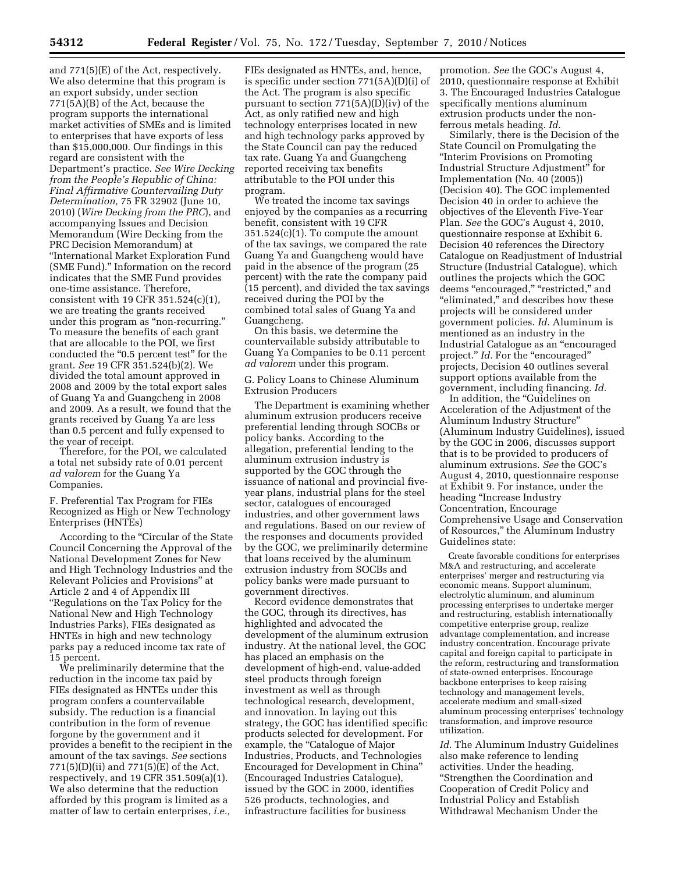and 771(5)(E) of the Act, respectively. We also determine that this program is an export subsidy, under section 771(5A)(B) of the Act, because the program supports the international market activities of SMEs and is limited to enterprises that have exports of less than \$15,000,000. Our findings in this regard are consistent with the Department's practice. *See Wire Decking from the People's Republic of China: Final Affirmative Countervailing Duty Determination,* 75 FR 32902 (June 10, 2010) (*Wire Decking from the PRC*), and accompanying Issues and Decision Memorandum (Wire Decking from the PRC Decision Memorandum) at ''International Market Exploration Fund (SME Fund).'' Information on the record indicates that the SME Fund provides one-time assistance. Therefore, consistent with 19 CFR 351.524(c)(1), we are treating the grants received under this program as ''non-recurring.'' To measure the benefits of each grant that are allocable to the POI, we first conducted the "0.5 percent test" for the grant. *See* 19 CFR 351.524(b)(2). We divided the total amount approved in 2008 and 2009 by the total export sales of Guang Ya and Guangcheng in 2008 and 2009. As a result, we found that the grants received by Guang Ya are less than 0.5 percent and fully expensed to the year of receipt.

Therefore, for the POI, we calculated a total net subsidy rate of 0.01 percent *ad valorem* for the Guang Ya Companies.

F. Preferential Tax Program for FIEs Recognized as High or New Technology Enterprises (HNTEs)

According to the ''Circular of the State Council Concerning the Approval of the National Development Zones for New and High Technology Industries and the Relevant Policies and Provisions'' at Article 2 and 4 of Appendix III ''Regulations on the Tax Policy for the National New and High Technology Industries Parks), FIEs designated as HNTEs in high and new technology parks pay a reduced income tax rate of 15 percent.

We preliminarily determine that the reduction in the income tax paid by FIEs designated as HNTEs under this program confers a countervailable subsidy. The reduction is a financial contribution in the form of revenue forgone by the government and it provides a benefit to the recipient in the amount of the tax savings. *See* sections 771(5)(D)(ii) and 771(5)(E) of the Act, respectively, and 19 CFR 351.509(a)(1). We also determine that the reduction afforded by this program is limited as a matter of law to certain enterprises, *i.e.,* 

FIEs designated as HNTEs, and, hence, is specific under section 771(5A)(D)(i) of the Act. The program is also specific pursuant to section 771(5A)(D)(iv) of the Act, as only ratified new and high technology enterprises located in new and high technology parks approved by the State Council can pay the reduced tax rate. Guang Ya and Guangcheng reported receiving tax benefits attributable to the POI under this program.

We treated the income tax savings enjoyed by the companies as a recurring benefit, consistent with 19 CFR  $351.524(c)(1)$ . To compute the amount of the tax savings, we compared the rate Guang Ya and Guangcheng would have paid in the absence of the program (25 percent) with the rate the company paid (15 percent), and divided the tax savings received during the POI by the combined total sales of Guang Ya and Guangcheng.

On this basis, we determine the countervailable subsidy attributable to Guang Ya Companies to be 0.11 percent *ad valorem* under this program.

G. Policy Loans to Chinese Aluminum Extrusion Producers

The Department is examining whether aluminum extrusion producers receive preferential lending through SOCBs or policy banks. According to the allegation, preferential lending to the aluminum extrusion industry is supported by the GOC through the issuance of national and provincial fiveyear plans, industrial plans for the steel sector, catalogues of encouraged industries, and other government laws and regulations. Based on our review of the responses and documents provided by the GOC, we preliminarily determine that loans received by the aluminum extrusion industry from SOCBs and policy banks were made pursuant to government directives.

Record evidence demonstrates that the GOC, through its directives, has highlighted and advocated the development of the aluminum extrusion industry. At the national level, the GOC has placed an emphasis on the development of high-end, value-added steel products through foreign investment as well as through technological research, development, and innovation. In laying out this strategy, the GOC has identified specific products selected for development. For example, the "Catalogue of Major Industries, Products, and Technologies Encouraged for Development in China'' (Encouraged Industries Catalogue), issued by the GOC in 2000, identifies 526 products, technologies, and infrastructure facilities for business

promotion. *See* the GOC's August 4, 2010, questionnaire response at Exhibit 3. The Encouraged Industries Catalogue specifically mentions aluminum extrusion products under the nonferrous metals heading. *Id.* 

Similarly, there is the Decision of the State Council on Promulgating the ''Interim Provisions on Promoting Industrial Structure Adjustment'' for Implementation (No. 40 (2005)) (Decision 40). The GOC implemented Decision 40 in order to achieve the objectives of the Eleventh Five-Year Plan. *See* the GOC's August 4, 2010, questionnaire response at Exhibit 6. Decision 40 references the Directory Catalogue on Readjustment of Industrial Structure (Industrial Catalogue), which outlines the projects which the GOC deems "encouraged," "restricted," and ''eliminated,'' and describes how these projects will be considered under government policies. *Id.* Aluminum is mentioned as an industry in the Industrial Catalogue as an ''encouraged project." *Id.* For the "encouraged" projects, Decision 40 outlines several support options available from the government, including financing. *Id.* 

In addition, the "Guidelines on Acceleration of the Adjustment of the Aluminum Industry Structure'' (Aluminum Industry Guidelines), issued by the GOC in 2006, discusses support that is to be provided to producers of aluminum extrusions. *See* the GOC's August 4, 2010, questionnaire response at Exhibit 9. For instance, under the heading ''Increase Industry Concentration, Encourage Comprehensive Usage and Conservation of Resources,'' the Aluminum Industry Guidelines state:

Create favorable conditions for enterprises M&A and restructuring, and accelerate enterprises' merger and restructuring via economic means. Support aluminum, electrolytic aluminum, and aluminum processing enterprises to undertake merger and restructuring, establish internationally competitive enterprise group, realize advantage complementation, and increase industry concentration. Encourage private capital and foreign capital to participate in the reform, restructuring and transformation of state-owned enterprises. Encourage backbone enterprises to keep raising technology and management levels, accelerate medium and small-sized aluminum processing enterprises' technology transformation, and improve resource utilization.

*Id.* The Aluminum Industry Guidelines also make reference to lending activities. Under the heading, ''Strengthen the Coordination and Cooperation of Credit Policy and Industrial Policy and Establish Withdrawal Mechanism Under the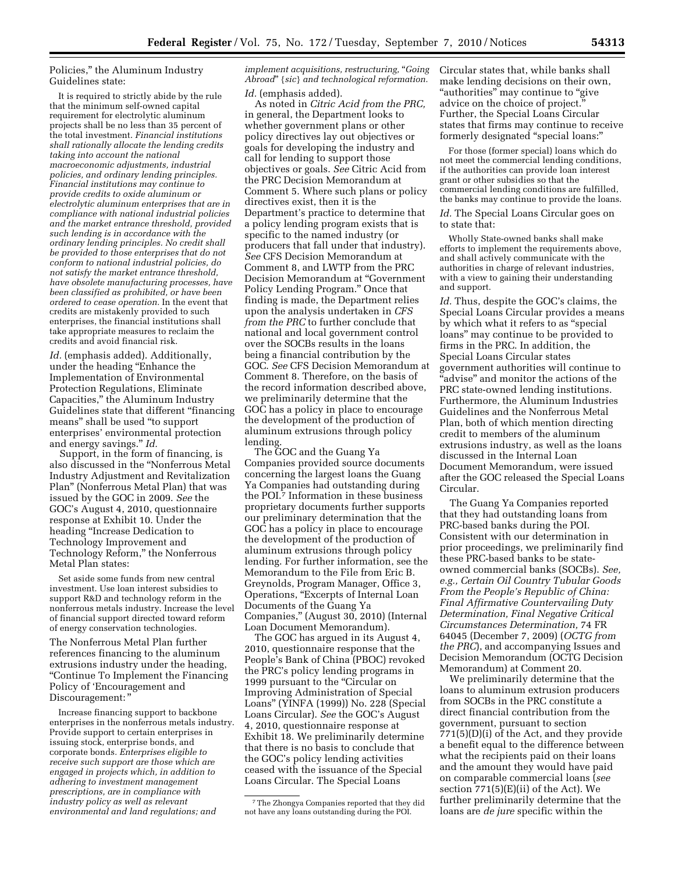Policies,'' the Aluminum Industry Guidelines state:

It is required to strictly abide by the rule that the minimum self-owned capital requirement for electrolytic aluminum projects shall be no less than 35 percent of the total investment. *Financial institutions shall rationally allocate the lending credits taking into account the national macroeconomic adjustments, industrial policies, and ordinary lending principles. Financial institutions may continue to provide credits to oxide aluminum or electrolytic aluminum enterprises that are in compliance with national industrial policies and the market entrance threshold, provided such lending is in accordance with the ordinary lending principles. No credit shall be provided to those enterprises that do not conform to national industrial policies, do not satisfy the market entrance threshold, have obsolete manufacturing processes, have been classified as prohibited, or have been ordered to cease operation.* In the event that credits are mistakenly provided to such enterprises, the financial institutions shall take appropriate measures to reclaim the credits and avoid financial risk.

Id. (emphasis added). Additionally, under the heading ''Enhance the Implementation of Environmental Protection Regulations, Eliminate Capacities,'' the Aluminum Industry Guidelines state that different ''financing means'' shall be used ''to support enterprises' environmental protection and energy savings.'' *Id.* 

Support, in the form of financing, is also discussed in the ''Nonferrous Metal Industry Adjustment and Revitalization Plan'' (Nonferrous Metal Plan) that was issued by the GOC in 2009. *See* the GOC's August 4, 2010, questionnaire response at Exhibit 10. Under the heading ''Increase Dedication to Technology Improvement and Technology Reform,'' the Nonferrous Metal Plan states:

Set aside some funds from new central investment. Use loan interest subsidies to support R&D and technology reform in the nonferrous metals industry. Increase the level of financial support directed toward reform of energy conservation technologies.

The Nonferrous Metal Plan further references financing to the aluminum extrusions industry under the heading, ''Continue To Implement the Financing Policy of 'Encouragement and Discouragement:"

Increase financing support to backbone enterprises in the nonferrous metals industry. Provide support to certain enterprises in issuing stock, enterprise bonds, and corporate bonds*. Enterprises eligible to receive such support are those which are engaged in projects which, in addition to adhering to investment management prescriptions, are in compliance with industry policy as well as relevant environmental and land regulations; and* 

*implement acquisitions, restructuring,* ''*Going Abroad*'' {*sic*} *and technological reformation. Id.* (emphasis added).

As noted in *Citric Acid from the PRC,*  in general, the Department looks to whether government plans or other policy directives lay out objectives or goals for developing the industry and call for lending to support those objectives or goals. *See* Citric Acid from the PRC Decision Memorandum at Comment 5. Where such plans or policy directives exist, then it is the Department's practice to determine that a policy lending program exists that is specific to the named industry (or producers that fall under that industry). *See* CFS Decision Memorandum at Comment 8, and LWTP from the PRC Decision Memorandum at ''Government Policy Lending Program.'' Once that finding is made, the Department relies upon the analysis undertaken in *CFS from the PRC* to further conclude that national and local government control over the SOCBs results in the loans being a financial contribution by the GOC. *See* CFS Decision Memorandum at Comment 8. Therefore, on the basis of the record information described above, we preliminarily determine that the GOC has a policy in place to encourage the development of the production of aluminum extrusions through policy lending.

The GOC and the Guang Ya Companies provided source documents concerning the largest loans the Guang Ya Companies had outstanding during the POI.7 Information in these business proprietary documents further supports our preliminary determination that the GOC has a policy in place to encourage the development of the production of aluminum extrusions through policy lending. For further information, see the Memorandum to the File from Eric B. Greynolds, Program Manager, Office 3, Operations, "Excerpts of Internal Loan Documents of the Guang Ya Companies,'' (August 30, 2010) (Internal Loan Document Memorandum).

The GOC has argued in its August 4, 2010, questionnaire response that the People's Bank of China (PBOC) revoked the PRC's policy lending programs in 1999 pursuant to the "Circular on Improving Administration of Special Loans'' (YINFA (1999)) No. 228 (Special Loans Circular). *See* the GOC's August 4, 2010, questionnaire response at Exhibit 18. We preliminarily determine that there is no basis to conclude that the GOC's policy lending activities ceased with the issuance of the Special Loans Circular. The Special Loans

Circular states that, while banks shall make lending decisions on their own, ''authorities'' may continue to ''give advice on the choice of project.'' Further, the Special Loans Circular states that firms may continue to receive formerly designated ''special loans:''

For those (former special) loans which do not meet the commercial lending conditions, if the authorities can provide loan interest grant or other subsidies so that the commercial lending conditions are fulfilled, the banks may continue to provide the loans.

*Id.* The Special Loans Circular goes on to state that:

Wholly State-owned banks shall make efforts to implement the requirements above, and shall actively communicate with the authorities in charge of relevant industries, with a view to gaining their understanding and support.

*Id.* Thus, despite the GOC's claims, the Special Loans Circular provides a means by which what it refers to as ''special loans'' may continue to be provided to firms in the PRC. In addition, the Special Loans Circular states government authorities will continue to ''advise'' and monitor the actions of the PRC state-owned lending institutions. Furthermore, the Aluminum Industries Guidelines and the Nonferrous Metal Plan, both of which mention directing credit to members of the aluminum extrusions industry, as well as the loans discussed in the Internal Loan Document Memorandum, were issued after the GOC released the Special Loans Circular.

The Guang Ya Companies reported that they had outstanding loans from PRC-based banks during the POI. Consistent with our determination in prior proceedings, we preliminarily find these PRC-based banks to be stateowned commercial banks (SOCBs). *See, e.g., Certain Oil Country Tubular Goods From the People's Republic of China: Final Affirmative Countervailing Duty Determination, Final Negative Critical Circumstances Determination,* 74 FR 64045 (December 7, 2009) (*OCTG from the PRC*), and accompanying Issues and Decision Memorandum (OCTG Decision Memorandum) at Comment 20.

We preliminarily determine that the loans to aluminum extrusion producers from SOCBs in the PRC constitute a direct financial contribution from the government, pursuant to section 771(5)(D)(i) of the Act, and they provide a benefit equal to the difference between what the recipients paid on their loans and the amount they would have paid on comparable commercial loans (*see*  section  $771(5)$ (E)(ii) of the Act). We further preliminarily determine that the loans are *de jure* specific within the

<sup>7</sup>The Zhongya Companies reported that they did not have any loans outstanding during the POI.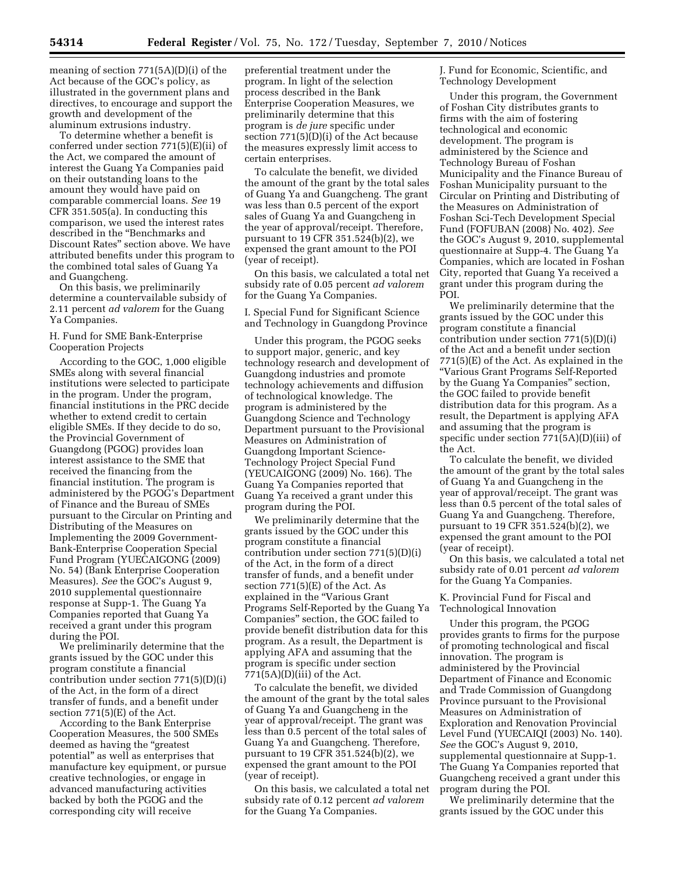meaning of section 771(5A)(D)(i) of the Act because of the GOC's policy, as illustrated in the government plans and directives, to encourage and support the growth and development of the aluminum extrusions industry.

To determine whether a benefit is conferred under section 771(5)(E)(ii) of the Act, we compared the amount of interest the Guang Ya Companies paid on their outstanding loans to the amount they would have paid on comparable commercial loans. *See* 19 CFR 351.505(a). In conducting this comparison, we used the interest rates described in the ''Benchmarks and Discount Rates'' section above. We have attributed benefits under this program to the combined total sales of Guang Ya and Guangcheng.

On this basis, we preliminarily determine a countervailable subsidy of 2.11 percent *ad valorem* for the Guang Ya Companies.

### H. Fund for SME Bank-Enterprise Cooperation Projects

According to the GOC, 1,000 eligible SMEs along with several financial institutions were selected to participate in the program. Under the program, financial institutions in the PRC decide whether to extend credit to certain eligible SMEs. If they decide to do so, the Provincial Government of Guangdong (PGOG) provides loan interest assistance to the SME that received the financing from the financial institution. The program is administered by the PGOG's Department of Finance and the Bureau of SMEs pursuant to the Circular on Printing and Distributing of the Measures on Implementing the 2009 Government-Bank-Enterprise Cooperation Special Fund Program (YUECAIGONG (2009) No. 54) (Bank Enterprise Cooperation Measures). *See* the GOC's August 9, 2010 supplemental questionnaire response at Supp-1. The Guang Ya Companies reported that Guang Ya received a grant under this program during the POI.

We preliminarily determine that the grants issued by the GOC under this program constitute a financial contribution under section 771(5)(D)(i) of the Act, in the form of a direct transfer of funds, and a benefit under section 771(5)(E) of the Act.

According to the Bank Enterprise Cooperation Measures, the 500 SMEs deemed as having the "greatest potential'' as well as enterprises that manufacture key equipment, or pursue creative technologies, or engage in advanced manufacturing activities backed by both the PGOG and the corresponding city will receive

preferential treatment under the program. In light of the selection process described in the Bank Enterprise Cooperation Measures, we preliminarily determine that this program is *de jure* specific under section 771(5)(D)(i) of the Act because the measures expressly limit access to certain enterprises.

To calculate the benefit, we divided the amount of the grant by the total sales of Guang Ya and Guangcheng. The grant was less than 0.5 percent of the export sales of Guang Ya and Guangcheng in the year of approval/receipt. Therefore, pursuant to 19 CFR 351.524(b)(2), we expensed the grant amount to the POI (year of receipt).

On this basis, we calculated a total net subsidy rate of 0.05 percent *ad valorem*  for the Guang Ya Companies.

I. Special Fund for Significant Science and Technology in Guangdong Province

Under this program, the PGOG seeks to support major, generic, and key technology research and development of Guangdong industries and promote technology achievements and diffusion of technological knowledge. The program is administered by the Guangdong Science and Technology Department pursuant to the Provisional Measures on Administration of Guangdong Important Science-Technology Project Special Fund (YEUCAIGONG (2009) No. 166). The Guang Ya Companies reported that Guang Ya received a grant under this program during the POI.

We preliminarily determine that the grants issued by the GOC under this program constitute a financial contribution under section 771(5)(D)(i) of the Act, in the form of a direct transfer of funds, and a benefit under section 771(5)(E) of the Act. As explained in the ''Various Grant Programs Self-Reported by the Guang Ya Companies'' section, the GOC failed to provide benefit distribution data for this program. As a result, the Department is applying AFA and assuming that the program is specific under section  $771(5A)(D)(iii)$  of the Act.

To calculate the benefit, we divided the amount of the grant by the total sales of Guang Ya and Guangcheng in the year of approval/receipt. The grant was less than 0.5 percent of the total sales of Guang Ya and Guangcheng. Therefore, pursuant to 19 CFR 351.524(b)(2), we expensed the grant amount to the POI (year of receipt).

On this basis, we calculated a total net subsidy rate of 0.12 percent *ad valorem*  for the Guang Ya Companies.

J. Fund for Economic, Scientific, and Technology Development

Under this program, the Government of Foshan City distributes grants to firms with the aim of fostering technological and economic development. The program is administered by the Science and Technology Bureau of Foshan Municipality and the Finance Bureau of Foshan Municipality pursuant to the Circular on Printing and Distributing of the Measures on Administration of Foshan Sci-Tech Development Special Fund (FOFUBAN (2008) No. 402). *See*  the GOC's August 9, 2010, supplemental questionnaire at Supp-4. The Guang Ya Companies, which are located in Foshan City, reported that Guang Ya received a grant under this program during the POI.

We preliminarily determine that the grants issued by the GOC under this program constitute a financial contribution under section 771(5)(D)(i) of the Act and a benefit under section 771(5)(E) of the Act. As explained in the ''Various Grant Programs Self-Reported by the Guang Ya Companies'' section, the GOC failed to provide benefit distribution data for this program. As a result, the Department is applying AFA and assuming that the program is specific under section 771(5A)(D)(iii) of the Act.

To calculate the benefit, we divided the amount of the grant by the total sales of Guang Ya and Guangcheng in the year of approval/receipt. The grant was less than 0.5 percent of the total sales of Guang Ya and Guangcheng. Therefore, pursuant to 19 CFR 351.524(b)(2), we expensed the grant amount to the POI (year of receipt).

On this basis, we calculated a total net subsidy rate of 0.01 percent *ad valorem*  for the Guang Ya Companies.

K. Provincial Fund for Fiscal and Technological Innovation

Under this program, the PGOG provides grants to firms for the purpose of promoting technological and fiscal innovation. The program is administered by the Provincial Department of Finance and Economic and Trade Commission of Guangdong Province pursuant to the Provisional Measures on Administration of Exploration and Renovation Provincial Level Fund (YUECAIQI (2003) No. 140). *See* the GOC's August 9, 2010, supplemental questionnaire at Supp-1. The Guang Ya Companies reported that Guangcheng received a grant under this program during the POI.

We preliminarily determine that the grants issued by the GOC under this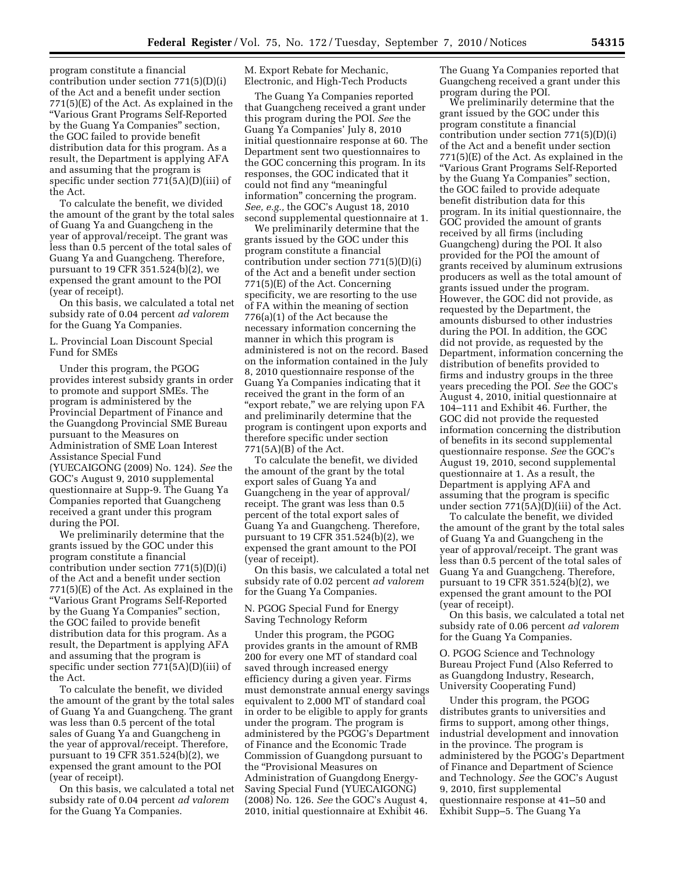program constitute a financial contribution under section 771(5)(D)(i) of the Act and a benefit under section 771(5)(E) of the Act. As explained in the ''Various Grant Programs Self-Reported by the Guang Ya Companies'' section, the GOC failed to provide benefit distribution data for this program. As a result, the Department is applying AFA and assuming that the program is specific under section 771(5A)(D)(iii) of the Act.

To calculate the benefit, we divided the amount of the grant by the total sales of Guang Ya and Guangcheng in the year of approval/receipt. The grant was less than 0.5 percent of the total sales of Guang Ya and Guangcheng. Therefore, pursuant to 19 CFR 351.524(b)(2), we expensed the grant amount to the POI (year of receipt).

On this basis, we calculated a total net subsidy rate of 0.04 percent *ad valorem*  for the Guang Ya Companies.

L. Provincial Loan Discount Special Fund for SMEs

Under this program, the PGOG provides interest subsidy grants in order to promote and support SMEs. The program is administered by the Provincial Department of Finance and the Guangdong Provincial SME Bureau pursuant to the Measures on Administration of SME Loan Interest Assistance Special Fund (YUECAIGONG (2009) No. 124). *See* the GOC's August 9, 2010 supplemental questionnaire at Supp-9. The Guang Ya Companies reported that Guangcheng received a grant under this program during the POI.

We preliminarily determine that the grants issued by the GOC under this program constitute a financial contribution under section 771(5)(D)(i) of the Act and a benefit under section 771(5)(E) of the Act. As explained in the ''Various Grant Programs Self-Reported by the Guang Ya Companies'' section, the GOC failed to provide benefit distribution data for this program. As a result, the Department is applying AFA and assuming that the program is specific under section 771(5A)(D)(iii) of the Act.

To calculate the benefit, we divided the amount of the grant by the total sales of Guang Ya and Guangcheng. The grant was less than 0.5 percent of the total sales of Guang Ya and Guangcheng in the year of approval/receipt. Therefore, pursuant to 19 CFR 351.524(b)(2), we expensed the grant amount to the POI (year of receipt).

On this basis, we calculated a total net subsidy rate of 0.04 percent *ad valorem*  for the Guang Ya Companies.

M. Export Rebate for Mechanic, Electronic, and High-Tech Products

The Guang Ya Companies reported that Guangcheng received a grant under this program during the POI. *See* the Guang Ya Companies' July 8, 2010 initial questionnaire response at 60. The Department sent two questionnaires to the GOC concerning this program. In its responses, the GOC indicated that it could not find any ''meaningful information'' concerning the program. *See, e.g.,* the GOC's August 18, 2010 second supplemental questionnaire at 1.

We preliminarily determine that the grants issued by the GOC under this program constitute a financial contribution under section 771(5)(D)(i) of the Act and a benefit under section 771(5)(E) of the Act. Concerning specificity, we are resorting to the use of FA within the meaning of section 776(a)(1) of the Act because the necessary information concerning the manner in which this program is administered is not on the record. Based on the information contained in the July 8, 2010 questionnaire response of the Guang Ya Companies indicating that it received the grant in the form of an "export rebate," we are relying upon FA and preliminarily determine that the program is contingent upon exports and therefore specific under section 771(5A)(B) of the Act.

To calculate the benefit, we divided the amount of the grant by the total export sales of Guang Ya and Guangcheng in the year of approval/ receipt. The grant was less than 0.5 percent of the total export sales of Guang Ya and Guangcheng. Therefore, pursuant to 19 CFR 351.524(b)(2), we expensed the grant amount to the POI (year of receipt).

On this basis, we calculated a total net subsidy rate of 0.02 percent *ad valorem*  for the Guang Ya Companies.

N. PGOG Special Fund for Energy Saving Technology Reform

Under this program, the PGOG provides grants in the amount of RMB 200 for every one MT of standard coal saved through increased energy efficiency during a given year. Firms must demonstrate annual energy savings equivalent to 2,000 MT of standard coal in order to be eligible to apply for grants under the program. The program is administered by the PGOG's Department of Finance and the Economic Trade Commission of Guangdong pursuant to the ''Provisional Measures on Administration of Guangdong Energy-Saving Special Fund (YUECAIGONG) (2008) No. 126. *See* the GOC's August 4, 2010, initial questionnaire at Exhibit 46.

The Guang Ya Companies reported that Guangcheng received a grant under this program during the POI.

We preliminarily determine that the grant issued by the GOC under this program constitute a financial contribution under section 771(5)(D)(i) of the Act and a benefit under section 771(5)(E) of the Act. As explained in the ''Various Grant Programs Self-Reported by the Guang Ya Companies'' section, the GOC failed to provide adequate benefit distribution data for this program. In its initial questionnaire, the GOC provided the amount of grants received by all firms (including Guangcheng) during the POI. It also provided for the POI the amount of grants received by aluminum extrusions producers as well as the total amount of grants issued under the program. However, the GOC did not provide, as requested by the Department, the amounts disbursed to other industries during the POI. In addition, the GOC did not provide, as requested by the Department, information concerning the distribution of benefits provided to firms and industry groups in the three years preceding the POI. *See* the GOC's August 4, 2010, initial questionnaire at 104–111 and Exhibit 46. Further, the GOC did not provide the requested information concerning the distribution of benefits in its second supplemental questionnaire response. *See* the GOC's August 19, 2010, second supplemental questionnaire at 1. As a result, the Department is applying AFA and assuming that the program is specific under section 771(5A)(D)(iii) of the Act.

To calculate the benefit, we divided the amount of the grant by the total sales of Guang Ya and Guangcheng in the year of approval/receipt. The grant was less than 0.5 percent of the total sales of Guang Ya and Guangcheng. Therefore, pursuant to 19 CFR 351.524(b)(2), we expensed the grant amount to the POI (year of receipt).

On this basis, we calculated a total net subsidy rate of 0.06 percent *ad valorem*  for the Guang Ya Companies.

O. PGOG Science and Technology Bureau Project Fund (Also Referred to as Guangdong Industry, Research, University Cooperating Fund)

Under this program, the PGOG distributes grants to universities and firms to support, among other things, industrial development and innovation in the province. The program is administered by the PGOG's Department of Finance and Department of Science and Technology. *See* the GOC's August 9, 2010, first supplemental questionnaire response at 41–50 and Exhibit Supp–5. The Guang Ya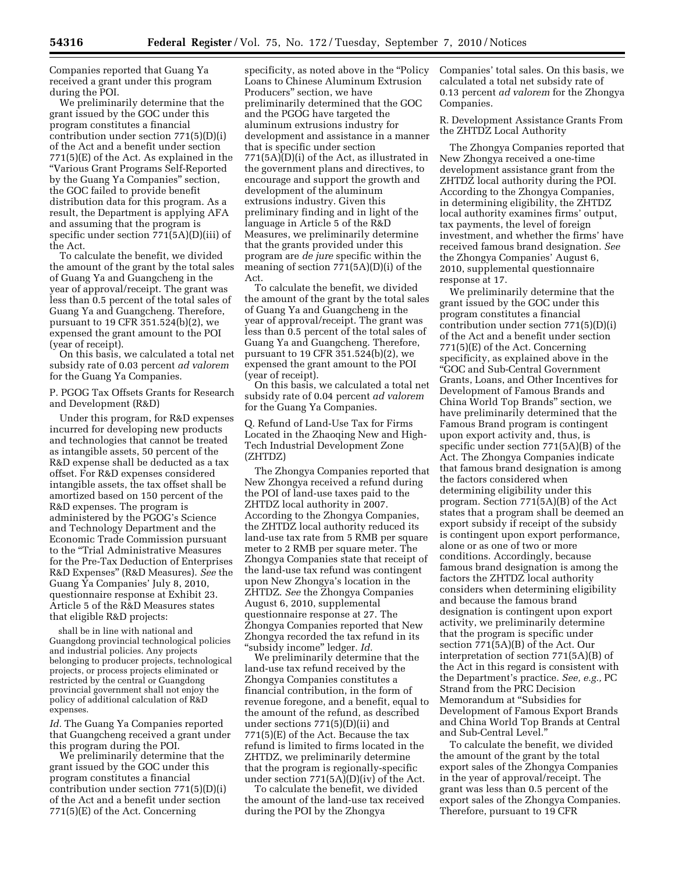Companies reported that Guang Ya received a grant under this program during the POI.

We preliminarily determine that the grant issued by the GOC under this program constitutes a financial contribution under section 771(5)(D)(i) of the Act and a benefit under section 771(5)(E) of the Act. As explained in the ''Various Grant Programs Self-Reported by the Guang Ya Companies'' section, the GOC failed to provide benefit distribution data for this program. As a result, the Department is applying AFA and assuming that the program is specific under section 771(5A)(D)(iii) of the Act.

To calculate the benefit, we divided the amount of the grant by the total sales of Guang Ya and Guangcheng in the year of approval/receipt. The grant was less than 0.5 percent of the total sales of Guang Ya and Guangcheng. Therefore, pursuant to 19 CFR 351.524(b)(2), we expensed the grant amount to the POI (year of receipt).

On this basis, we calculated a total net subsidy rate of 0.03 percent *ad valorem*  for the Guang Ya Companies.

P. PGOG Tax Offsets Grants for Research and Development (R&D)

Under this program, for R&D expenses incurred for developing new products and technologies that cannot be treated as intangible assets, 50 percent of the R&D expense shall be deducted as a tax offset. For R&D expenses considered intangible assets, the tax offset shall be amortized based on 150 percent of the R&D expenses. The program is administered by the PGOG's Science and Technology Department and the Economic Trade Commission pursuant to the ''Trial Administrative Measures for the Pre-Tax Deduction of Enterprises R&D Expenses'' (R&D Measures). *See* the Guang Ya Companies' July 8, 2010, questionnaire response at Exhibit 23. Article 5 of the R&D Measures states that eligible R&D projects:

shall be in line with national and Guangdong provincial technological policies and industrial policies. Any projects belonging to producer projects, technological projects, or process projects eliminated or restricted by the central or Guangdong provincial government shall not enjoy the policy of additional calculation of R&D expenses.

*Id.* The Guang Ya Companies reported that Guangcheng received a grant under this program during the POI.

We preliminarily determine that the grant issued by the GOC under this program constitutes a financial contribution under section 771(5)(D)(i) of the Act and a benefit under section 771(5)(E) of the Act. Concerning

specificity, as noted above in the "Policy" Loans to Chinese Aluminum Extrusion Producers'' section, we have preliminarily determined that the GOC and the PGOG have targeted the aluminum extrusions industry for development and assistance in a manner that is specific under section 771(5A)(D)(i) of the Act, as illustrated in the government plans and directives, to encourage and support the growth and development of the aluminum extrusions industry. Given this preliminary finding and in light of the language in Article 5 of the R&D Measures, we preliminarily determine that the grants provided under this program are *de jure* specific within the meaning of section 771(5A)(D)(i) of the Act.

To calculate the benefit, we divided the amount of the grant by the total sales of Guang Ya and Guangcheng in the year of approval/receipt. The grant was less than 0.5 percent of the total sales of Guang Ya and Guangcheng. Therefore, pursuant to 19 CFR 351.524(b)(2), we expensed the grant amount to the POI (year of receipt).

On this basis, we calculated a total net subsidy rate of 0.04 percent *ad valorem*  for the Guang Ya Companies.

Q. Refund of Land-Use Tax for Firms Located in the Zhaoqing New and High-Tech Industrial Development Zone (ZHTDZ)

The Zhongya Companies reported that New Zhongya received a refund during the POI of land-use taxes paid to the ZHTDZ local authority in 2007. According to the Zhongya Companies, the ZHTDZ local authority reduced its land-use tax rate from 5 RMB per square meter to 2 RMB per square meter. The Zhongya Companies state that receipt of the land-use tax refund was contingent upon New Zhongya's location in the ZHTDZ. *See* the Zhongya Companies August 6, 2010, supplemental questionnaire response at 27. The Zhongya Companies reported that New Zhongya recorded the tax refund in its ''subsidy income'' ledger. *Id.* 

We preliminarily determine that the land-use tax refund received by the Zhongya Companies constitutes a financial contribution, in the form of revenue foregone, and a benefit, equal to the amount of the refund, as described under sections 771(5)(D)(ii) and 771(5)(E) of the Act. Because the tax refund is limited to firms located in the ZHTDZ, we preliminarily determine that the program is regionally-specific under section 771(5A)(D)(iv) of the Act.

To calculate the benefit, we divided the amount of the land-use tax received during the POI by the Zhongya

Companies' total sales. On this basis, we calculated a total net subsidy rate of 0.13 percent *ad valorem* for the Zhongya Companies.

R. Development Assistance Grants From the ZHTDZ Local Authority

The Zhongya Companies reported that New Zhongya received a one-time development assistance grant from the ZHTDZ local authority during the POI. According to the Zhongya Companies, in determining eligibility, the ZHTDZ local authority examines firms' output, tax payments, the level of foreign investment, and whether the firms' have received famous brand designation. *See*  the Zhongya Companies' August 6, 2010, supplemental questionnaire response at 17.

We preliminarily determine that the grant issued by the GOC under this program constitutes a financial contribution under section 771(5)(D)(i) of the Act and a benefit under section 771(5)(E) of the Act. Concerning specificity, as explained above in the ''GOC and Sub-Central Government Grants, Loans, and Other Incentives for Development of Famous Brands and China World Top Brands'' section, we have preliminarily determined that the Famous Brand program is contingent upon export activity and, thus, is specific under section 771(5A)(B) of the Act. The Zhongya Companies indicate that famous brand designation is among the factors considered when determining eligibility under this program. Section 771(5A)(B) of the Act states that a program shall be deemed an export subsidy if receipt of the subsidy is contingent upon export performance, alone or as one of two or more conditions. Accordingly, because famous brand designation is among the factors the ZHTDZ local authority considers when determining eligibility and because the famous brand designation is contingent upon export activity, we preliminarily determine that the program is specific under section 771(5A)(B) of the Act. Our interpretation of section 771(5A)(B) of the Act in this regard is consistent with the Department's practice. *See, e.g.,* PC Strand from the PRC Decision Memorandum at ''Subsidies for Development of Famous Export Brands and China World Top Brands at Central and Sub-Central Level.''

To calculate the benefit, we divided the amount of the grant by the total export sales of the Zhongya Companies in the year of approval/receipt. The grant was less than 0.5 percent of the export sales of the Zhongya Companies. Therefore, pursuant to 19 CFR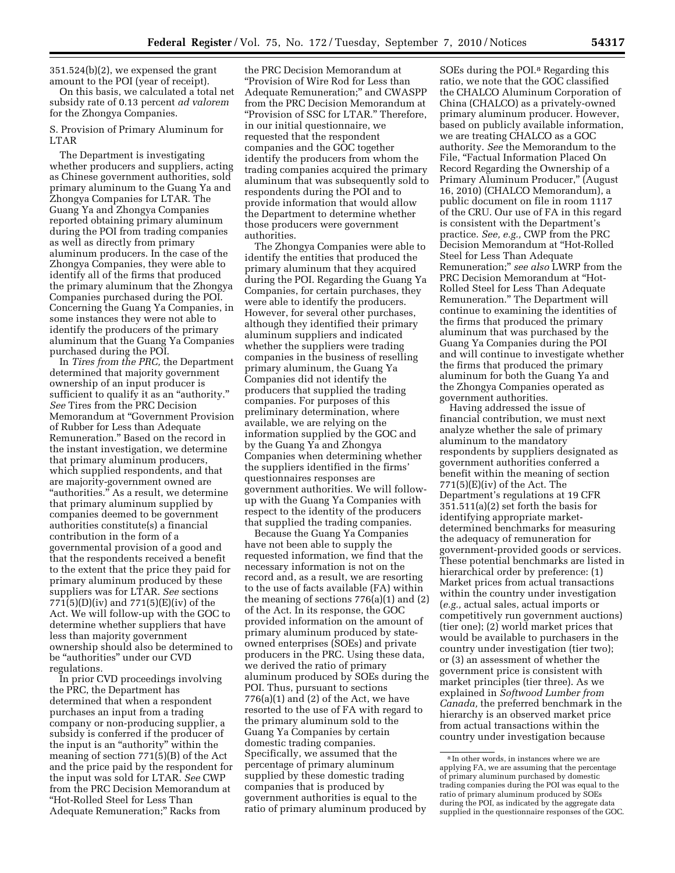351.524(b)(2), we expensed the grant amount to the POI (year of receipt).

On this basis, we calculated a total net subsidy rate of 0.13 percent *ad valorem*  for the Zhongya Companies.

S. Provision of Primary Aluminum for LTAR

The Department is investigating whether producers and suppliers, acting as Chinese government authorities, sold primary aluminum to the Guang Ya and Zhongya Companies for LTAR. The Guang Ya and Zhongya Companies reported obtaining primary aluminum during the POI from trading companies as well as directly from primary aluminum producers. In the case of the Zhongya Companies, they were able to identify all of the firms that produced the primary aluminum that the Zhongya Companies purchased during the POI. Concerning the Guang Ya Companies, in some instances they were not able to identify the producers of the primary aluminum that the Guang Ya Companies purchased during the POI.

In *Tires from the PRC,* the Department determined that majority government ownership of an input producer is sufficient to qualify it as an "authority." *See* Tires from the PRC Decision Memorandum at ''Government Provision of Rubber for Less than Adequate Remuneration.'' Based on the record in the instant investigation, we determine that primary aluminum producers, which supplied respondents, and that are majority-government owned are ''authorities.'' As a result, we determine that primary aluminum supplied by companies deemed to be government authorities constitute(s) a financial contribution in the form of a governmental provision of a good and that the respondents received a benefit to the extent that the price they paid for primary aluminum produced by these suppliers was for LTAR. *See* sections 771(5)(D)(iv) and 771(5)(E)(iv) of the Act. We will follow-up with the GOC to determine whether suppliers that have less than majority government ownership should also be determined to be ''authorities'' under our CVD regulations.

In prior CVD proceedings involving the PRC, the Department has determined that when a respondent purchases an input from a trading company or non-producing supplier, a subsidy is conferred if the producer of the input is an ''authority'' within the meaning of section 771(5)(B) of the Act and the price paid by the respondent for the input was sold for LTAR. *See* CWP from the PRC Decision Memorandum at ''Hot-Rolled Steel for Less Than Adequate Remuneration;'' Racks from

the PRC Decision Memorandum at ''Provision of Wire Rod for Less than Adequate Remuneration;'' and CWASPP from the PRC Decision Memorandum at ''Provision of SSC for LTAR.'' Therefore, in our initial questionnaire, we requested that the respondent companies and the GOC together identify the producers from whom the trading companies acquired the primary aluminum that was subsequently sold to respondents during the POI and to provide information that would allow the Department to determine whether those producers were government authorities.

The Zhongya Companies were able to identify the entities that produced the primary aluminum that they acquired during the POI. Regarding the Guang Ya Companies, for certain purchases, they were able to identify the producers. However, for several other purchases, although they identified their primary aluminum suppliers and indicated whether the suppliers were trading companies in the business of reselling primary aluminum, the Guang Ya Companies did not identify the producers that supplied the trading companies. For purposes of this preliminary determination, where available, we are relying on the information supplied by the GOC and by the Guang Ya and Zhongya Companies when determining whether the suppliers identified in the firms' questionnaires responses are government authorities. We will followup with the Guang Ya Companies with respect to the identity of the producers that supplied the trading companies.

Because the Guang Ya Companies have not been able to supply the requested information, we find that the necessary information is not on the record and, as a result, we are resorting to the use of facts available (FA) within the meaning of sections 776(a)(1) and (2) of the Act. In its response, the GOC provided information on the amount of primary aluminum produced by stateowned enterprises (SOEs) and private producers in the PRC. Using these data, we derived the ratio of primary aluminum produced by SOEs during the POI. Thus, pursuant to sections  $776(a)(1)$  and  $(2)$  of the Act, we have resorted to the use of FA with regard to the primary aluminum sold to the Guang Ya Companies by certain domestic trading companies. Specifically, we assumed that the percentage of primary aluminum supplied by these domestic trading companies that is produced by government authorities is equal to the ratio of primary aluminum produced by

SOEs during the POI.8 Regarding this ratio, we note that the GOC classified the CHALCO Aluminum Corporation of China (CHALCO) as a privately-owned primary aluminum producer. However, based on publicly available information, we are treating CHALCO as a GOC authority. *See* the Memorandum to the File, "Factual Information Placed On Record Regarding the Ownership of a Primary Aluminum Producer,'' (August 16, 2010) (CHALCO Memorandum), a public document on file in room 1117 of the CRU. Our use of FA in this regard is consistent with the Department's practice. *See, e.g.,* CWP from the PRC Decision Memorandum at ''Hot-Rolled Steel for Less Than Adequate Remuneration;'' *see also* LWRP from the PRC Decision Memorandum at ''Hot-Rolled Steel for Less Than Adequate Remuneration.'' The Department will continue to examining the identities of the firms that produced the primary aluminum that was purchased by the Guang Ya Companies during the POI and will continue to investigate whether the firms that produced the primary aluminum for both the Guang Ya and the Zhongya Companies operated as government authorities.

Having addressed the issue of financial contribution, we must next analyze whether the sale of primary aluminum to the mandatory respondents by suppliers designated as government authorities conferred a benefit within the meaning of section  $771(5)$ (E)(iv) of the Act. The Department's regulations at 19 CFR 351.511(a)(2) set forth the basis for identifying appropriate marketdetermined benchmarks for measuring the adequacy of remuneration for government-provided goods or services. These potential benchmarks are listed in hierarchical order by preference: (1) Market prices from actual transactions within the country under investigation (*e.g.,* actual sales, actual imports or competitively run government auctions) (tier one); (2) world market prices that would be available to purchasers in the country under investigation (tier two); or (3) an assessment of whether the government price is consistent with market principles (tier three). As we explained in *Softwood Lumber from Canada,* the preferred benchmark in the hierarchy is an observed market price from actual transactions within the country under investigation because

<sup>8</sup> In other words, in instances where we are applying FA, we are assuming that the percentage of primary aluminum purchased by domestic trading companies during the POI was equal to the ratio of primary aluminum produced by SOEs during the POI, as indicated by the aggregate data supplied in the questionnaire responses of the GOC.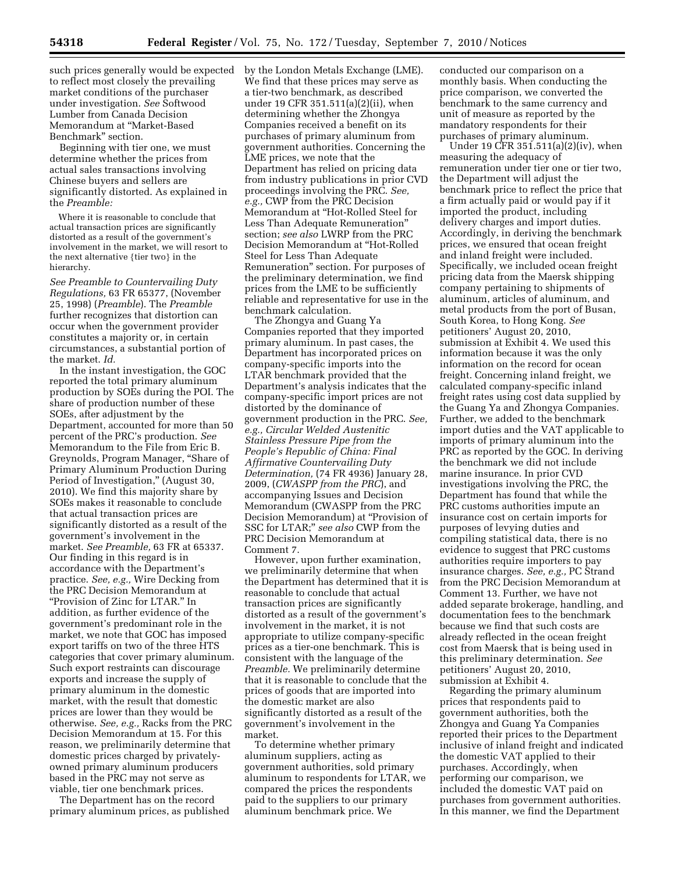such prices generally would be expected to reflect most closely the prevailing market conditions of the purchaser under investigation. *See* Softwood Lumber from Canada Decision Memorandum at ''Market-Based Benchmark'' section.

Beginning with tier one, we must determine whether the prices from actual sales transactions involving Chinese buyers and sellers are significantly distorted. As explained in the *Preamble:* 

Where it is reasonable to conclude that actual transaction prices are significantly distorted as a result of the government's involvement in the market, we will resort to the next alternative {tier two} in the hierarchy.

*See Preamble to Countervailing Duty Regulations,* 63 FR 65377, (November 25, 1998) (*Preamble*). The *Preamble*  further recognizes that distortion can occur when the government provider constitutes a majority or, in certain circumstances, a substantial portion of the market. *Id.* 

In the instant investigation, the GOC reported the total primary aluminum production by SOEs during the POI. The share of production number of these SOEs, after adjustment by the Department, accounted for more than 50 percent of the PRC's production. *See*  Memorandum to the File from Eric B. Greynolds, Program Manager, ''Share of Primary Aluminum Production During Period of Investigation,'' (August 30, 2010). We find this majority share by SOEs makes it reasonable to conclude that actual transaction prices are significantly distorted as a result of the government's involvement in the market. *See Preamble,* 63 FR at 65337. Our finding in this regard is in accordance with the Department's practice. *See, e.g.,* Wire Decking from the PRC Decision Memorandum at ''Provision of Zinc for LTAR.'' In addition, as further evidence of the government's predominant role in the market, we note that GOC has imposed export tariffs on two of the three HTS categories that cover primary aluminum. Such export restraints can discourage exports and increase the supply of primary aluminum in the domestic market, with the result that domestic prices are lower than they would be otherwise. *See, e.g.,* Racks from the PRC Decision Memorandum at 15. For this reason, we preliminarily determine that domestic prices charged by privatelyowned primary aluminum producers based in the PRC may not serve as viable, tier one benchmark prices.

The Department has on the record primary aluminum prices, as published by the London Metals Exchange (LME). We find that these prices may serve as a tier-two benchmark, as described under 19 CFR 351.511(a)(2)(ii), when determining whether the Zhongya Companies received a benefit on its purchases of primary aluminum from government authorities. Concerning the LME prices, we note that the Department has relied on pricing data from industry publications in prior CVD proceedings involving the PRC. *See, e.g.,* CWP from the PRC Decision Memorandum at ''Hot-Rolled Steel for Less Than Adequate Remuneration'' section; *see also* LWRP from the PRC Decision Memorandum at ''Hot-Rolled Steel for Less Than Adequate Remuneration'' section. For purposes of the preliminary determination, we find prices from the LME to be sufficiently reliable and representative for use in the benchmark calculation.

The Zhongya and Guang Ya Companies reported that they imported primary aluminum. In past cases, the Department has incorporated prices on company-specific imports into the LTAR benchmark provided that the Department's analysis indicates that the company-specific import prices are not distorted by the dominance of government production in the PRC. *See, e.g., Circular Welded Austenitic Stainless Pressure Pipe from the People's Republic of China: Final Affirmative Countervailing Duty Determination,* (74 FR 4936) January 28, 2009, (*CWASPP from the PRC*), and accompanying Issues and Decision Memorandum (CWASPP from the PRC Decision Memorandum) at ''Provision of SSC for LTAR;'' *see also* CWP from the PRC Decision Memorandum at Comment 7.

However, upon further examination, we preliminarily determine that when the Department has determined that it is reasonable to conclude that actual transaction prices are significantly distorted as a result of the government's involvement in the market, it is not appropriate to utilize company-specific prices as a tier-one benchmark. This is consistent with the language of the *Preamble.* We preliminarily determine that it is reasonable to conclude that the prices of goods that are imported into the domestic market are also significantly distorted as a result of the government's involvement in the market.

To determine whether primary aluminum suppliers, acting as government authorities, sold primary aluminum to respondents for LTAR, we compared the prices the respondents paid to the suppliers to our primary aluminum benchmark price. We

conducted our comparison on a monthly basis. When conducting the price comparison, we converted the benchmark to the same currency and unit of measure as reported by the mandatory respondents for their purchases of primary aluminum.

Under 19 CFR 351.511(a)(2)(iv), when measuring the adequacy of remuneration under tier one or tier two, the Department will adjust the benchmark price to reflect the price that a firm actually paid or would pay if it imported the product, including delivery charges and import duties. Accordingly, in deriving the benchmark prices, we ensured that ocean freight and inland freight were included. Specifically, we included ocean freight pricing data from the Maersk shipping company pertaining to shipments of aluminum, articles of aluminum, and metal products from the port of Busan, South Korea, to Hong Kong. *See*  petitioners' August 20, 2010, submission at Exhibit 4. We used this information because it was the only information on the record for ocean freight. Concerning inland freight, we calculated company-specific inland freight rates using cost data supplied by the Guang Ya and Zhongya Companies. Further, we added to the benchmark import duties and the VAT applicable to imports of primary aluminum into the PRC as reported by the GOC. In deriving the benchmark we did not include marine insurance. In prior CVD investigations involving the PRC, the Department has found that while the PRC customs authorities impute an insurance cost on certain imports for purposes of levying duties and compiling statistical data, there is no evidence to suggest that PRC customs authorities require importers to pay insurance charges. *See, e.g.,* PC Strand from the PRC Decision Memorandum at Comment 13. Further, we have not added separate brokerage, handling, and documentation fees to the benchmark because we find that such costs are already reflected in the ocean freight cost from Maersk that is being used in this preliminary determination. *See*  petitioners' August 20, 2010, submission at Exhibit 4.

Regarding the primary aluminum prices that respondents paid to government authorities, both the Zhongya and Guang Ya Companies reported their prices to the Department inclusive of inland freight and indicated the domestic VAT applied to their purchases. Accordingly, when performing our comparison, we included the domestic VAT paid on purchases from government authorities. In this manner, we find the Department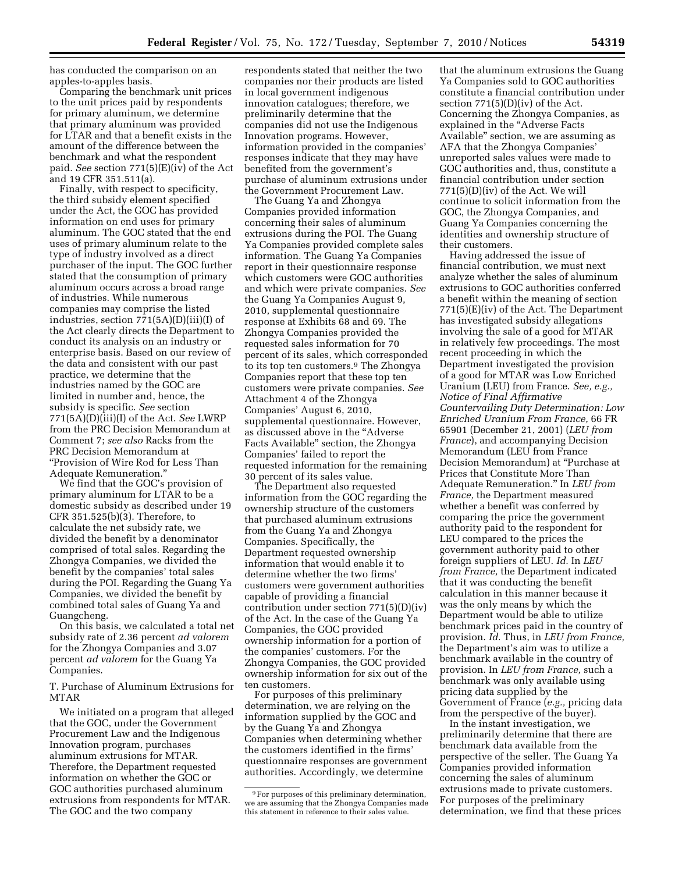has conducted the comparison on an apples-to-apples basis.

Comparing the benchmark unit prices to the unit prices paid by respondents for primary aluminum, we determine that primary aluminum was provided for LTAR and that a benefit exists in the amount of the difference between the benchmark and what the respondent paid. *See* section 771(5)(E)(iv) of the Act and 19 CFR 351.511(a).

Finally, with respect to specificity, the third subsidy element specified under the Act, the GOC has provided information on end uses for primary aluminum. The GOC stated that the end uses of primary aluminum relate to the type of industry involved as a direct purchaser of the input. The GOC further stated that the consumption of primary aluminum occurs across a broad range of industries. While numerous companies may comprise the listed industries, section 771(5A)(D)(iii)(I) of the Act clearly directs the Department to conduct its analysis on an industry or enterprise basis. Based on our review of the data and consistent with our past practice, we determine that the industries named by the GOC are limited in number and, hence, the subsidy is specific. *See* section 771(5A)(D)(iii)(I) of the Act. *See* LWRP from the PRC Decision Memorandum at Comment 7; *see also* Racks from the PRC Decision Memorandum at ''Provision of Wire Rod for Less Than Adequate Remuneration.''

We find that the GOC's provision of primary aluminum for LTAR to be a domestic subsidy as described under 19 CFR 351.525(b)(3). Therefore, to calculate the net subsidy rate, we divided the benefit by a denominator comprised of total sales. Regarding the Zhongya Companies, we divided the benefit by the companies' total sales during the POI. Regarding the Guang Ya Companies, we divided the benefit by combined total sales of Guang Ya and Guangcheng.

On this basis, we calculated a total net subsidy rate of 2.36 percent *ad valorem*  for the Zhongya Companies and 3.07 percent *ad valorem* for the Guang Ya Companies.

T. Purchase of Aluminum Extrusions for MTAR

We initiated on a program that alleged that the GOC, under the Government Procurement Law and the Indigenous Innovation program, purchases aluminum extrusions for MTAR. Therefore, the Department requested information on whether the GOC or GOC authorities purchased aluminum extrusions from respondents for MTAR. The GOC and the two company

respondents stated that neither the two companies nor their products are listed in local government indigenous innovation catalogues; therefore, we preliminarily determine that the companies did not use the Indigenous Innovation programs. However, information provided in the companies' responses indicate that they may have benefited from the government's purchase of aluminum extrusions under the Government Procurement Law.

The Guang Ya and Zhongya Companies provided information concerning their sales of aluminum extrusions during the POI. The Guang Ya Companies provided complete sales information. The Guang Ya Companies report in their questionnaire response which customers were GOC authorities and which were private companies. *See*  the Guang Ya Companies August 9, 2010, supplemental questionnaire response at Exhibits 68 and 69. The Zhongya Companies provided the requested sales information for 70 percent of its sales, which corresponded to its top ten customers.9 The Zhongya Companies report that these top ten customers were private companies. *See*  Attachment 4 of the Zhongya Companies' August 6, 2010, supplemental questionnaire. However, as discussed above in the ''Adverse Facts Available'' section, the Zhongya Companies' failed to report the requested information for the remaining 30 percent of its sales value.

The Department also requested information from the GOC regarding the ownership structure of the customers that purchased aluminum extrusions from the Guang Ya and Zhongya Companies. Specifically, the Department requested ownership information that would enable it to determine whether the two firms' customers were government authorities capable of providing a financial contribution under section 771(5)(D)(iv) of the Act. In the case of the Guang Ya Companies, the GOC provided ownership information for a portion of the companies' customers. For the Zhongya Companies, the GOC provided ownership information for six out of the ten customers.

For purposes of this preliminary determination, we are relying on the information supplied by the GOC and by the Guang Ya and Zhongya Companies when determining whether the customers identified in the firms' questionnaire responses are government authorities. Accordingly, we determine

that the aluminum extrusions the Guang Ya Companies sold to GOC authorities constitute a financial contribution under section  $771(5)(D)(iv)$  of the Act. Concerning the Zhongya Companies, as explained in the "Adverse Facts" Available'' section, we are assuming as AFA that the Zhongya Companies' unreported sales values were made to GOC authorities and, thus, constitute a financial contribution under section 771(5)(D)(iv) of the Act. We will continue to solicit information from the GOC, the Zhongya Companies, and Guang Ya Companies concerning the identities and ownership structure of their customers.

Having addressed the issue of financial contribution, we must next analyze whether the sales of aluminum extrusions to GOC authorities conferred a benefit within the meaning of section 771(5)(E)(iv) of the Act. The Department has investigated subsidy allegations involving the sale of a good for MTAR in relatively few proceedings. The most recent proceeding in which the Department investigated the provision of a good for MTAR was Low Enriched Uranium (LEU) from France. *See, e.g., Notice of Final Affirmative Countervailing Duty Determination: Low Enriched Uranium From France,* 66 FR 65901 (December 21, 2001) (*LEU from France*), and accompanying Decision Memorandum (LEU from France Decision Memorandum) at ''Purchase at Prices that Constitute More Than Adequate Remuneration.'' In *LEU from France,* the Department measured whether a benefit was conferred by comparing the price the government authority paid to the respondent for LEU compared to the prices the government authority paid to other foreign suppliers of LEU. *Id.* In *LEU from France,* the Department indicated that it was conducting the benefit calculation in this manner because it was the only means by which the Department would be able to utilize benchmark prices paid in the country of provision. *Id.* Thus, in *LEU from France,*  the Department's aim was to utilize a benchmark available in the country of provision. In *LEU from France,* such a benchmark was only available using pricing data supplied by the Government of France (*e.g.,* pricing data from the perspective of the buyer).

In the instant investigation, we preliminarily determine that there are benchmark data available from the perspective of the seller. The Guang Ya Companies provided information concerning the sales of aluminum extrusions made to private customers. For purposes of the preliminary determination, we find that these prices

<sup>9</sup>For purposes of this preliminary determination, we are assuming that the Zhongya Companies made this statement in reference to their sales value.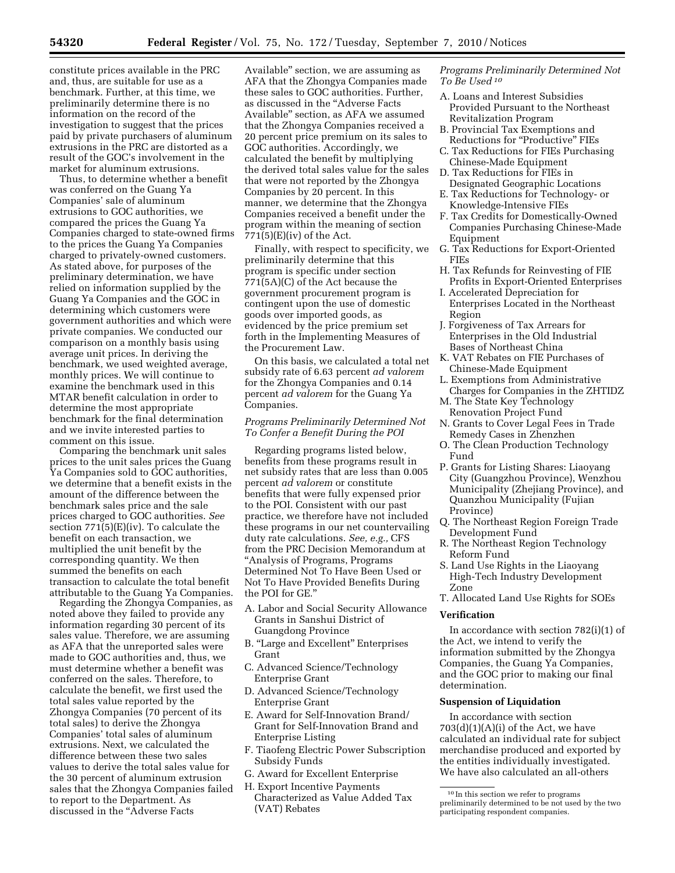constitute prices available in the PRC and, thus, are suitable for use as a benchmark. Further, at this time, we preliminarily determine there is no information on the record of the investigation to suggest that the prices paid by private purchasers of aluminum extrusions in the PRC are distorted as a result of the GOC's involvement in the market for aluminum extrusions.

Thus, to determine whether a benefit was conferred on the Guang Ya Companies' sale of aluminum extrusions to GOC authorities, we compared the prices the Guang Ya Companies charged to state-owned firms to the prices the Guang Ya Companies charged to privately-owned customers. As stated above, for purposes of the preliminary determination, we have relied on information supplied by the Guang Ya Companies and the GOC in determining which customers were government authorities and which were private companies. We conducted our comparison on a monthly basis using average unit prices. In deriving the benchmark, we used weighted average, monthly prices. We will continue to examine the benchmark used in this MTAR benefit calculation in order to determine the most appropriate benchmark for the final determination and we invite interested parties to comment on this issue.

Comparing the benchmark unit sales prices to the unit sales prices the Guang Ya Companies sold to GOC authorities, we determine that a benefit exists in the amount of the difference between the benchmark sales price and the sale prices charged to GOC authorities. *See*  section  $771(5)(E)(iv)$ . To calculate the benefit on each transaction, we multiplied the unit benefit by the corresponding quantity. We then summed the benefits on each transaction to calculate the total benefit attributable to the Guang Ya Companies.

Regarding the Zhongya Companies, as noted above they failed to provide any information regarding 30 percent of its sales value. Therefore, we are assuming as AFA that the unreported sales were made to GOC authorities and, thus, we must determine whether a benefit was conferred on the sales. Therefore, to calculate the benefit, we first used the total sales value reported by the Zhongya Companies (70 percent of its total sales) to derive the Zhongya Companies' total sales of aluminum extrusions. Next, we calculated the difference between these two sales values to derive the total sales value for the 30 percent of aluminum extrusion sales that the Zhongya Companies failed to report to the Department. As discussed in the ''Adverse Facts

Available'' section, we are assuming as AFA that the Zhongya Companies made these sales to GOC authorities. Further, as discussed in the ''Adverse Facts Available'' section, as AFA we assumed that the Zhongya Companies received a 20 percent price premium on its sales to GOC authorities. Accordingly, we calculated the benefit by multiplying the derived total sales value for the sales that were not reported by the Zhongya Companies by 20 percent. In this manner, we determine that the Zhongya Companies received a benefit under the program within the meaning of section  $771(5)$ (E)(iv) of the Act.

Finally, with respect to specificity, we preliminarily determine that this program is specific under section 771(5A)(C) of the Act because the government procurement program is contingent upon the use of domestic goods over imported goods, as evidenced by the price premium set forth in the Implementing Measures of the Procurement Law.

On this basis, we calculated a total net subsidy rate of 6.63 percent *ad valorem*  for the Zhongya Companies and 0.14 percent *ad valorem* for the Guang Ya Companies.

# *Programs Preliminarily Determined Not To Confer a Benefit During the POI*

Regarding programs listed below, benefits from these programs result in net subsidy rates that are less than 0.005 percent *ad valorem* or constitute benefits that were fully expensed prior to the POI. Consistent with our past practice, we therefore have not included these programs in our net countervailing duty rate calculations. *See, e.g.,* CFS from the PRC Decision Memorandum at ''Analysis of Programs, Programs Determined Not To Have Been Used or Not To Have Provided Benefits During the POI for GE.''

- A. Labor and Social Security Allowance Grants in Sanshui District of Guangdong Province
- B. ''Large and Excellent'' Enterprises Grant
- C. Advanced Science/Technology Enterprise Grant
- D. Advanced Science/Technology Enterprise Grant
- E. Award for Self-Innovation Brand/ Grant for Self-Innovation Brand and Enterprise Listing
- F. Tiaofeng Electric Power Subscription Subsidy Funds
- G. Award for Excellent Enterprise
- H. Export Incentive Payments Characterized as Value Added Tax (VAT) Rebates

*Programs Preliminarily Determined Not To Be Used 10*

- A. Loans and Interest Subsidies Provided Pursuant to the Northeast Revitalization Program
- B. Provincial Tax Exemptions and Reductions for ''Productive'' FIEs
- C. Tax Reductions for FIEs Purchasing Chinese-Made Equipment
- D. Tax Reductions for FIEs in Designated Geographic Locations
- E. Tax Reductions for Technology- or Knowledge-Intensive FIEs
- F. Tax Credits for Domestically-Owned Companies Purchasing Chinese-Made Equipment
- G. Tax Reductions for Export-Oriented FIEs
- H. Tax Refunds for Reinvesting of FIE Profits in Export-Oriented Enterprises
- I. Accelerated Depreciation for Enterprises Located in the Northeast Region
- J. Forgiveness of Tax Arrears for Enterprises in the Old Industrial Bases of Northeast China
- K. VAT Rebates on FIE Purchases of Chinese-Made Equipment
- L. Exemptions from Administrative Charges for Companies in the ZHTIDZ
- M. The State Key Technology Renovation Project Fund
- N. Grants to Cover Legal Fees in Trade Remedy Cases in Zhenzhen
- O. The Clean Production Technology Fund
- P. Grants for Listing Shares: Liaoyang City (Guangzhou Province), Wenzhou Municipality (Zhejiang Province), and Quanzhou Municipality (Fujian Province)
- Q. The Northeast Region Foreign Trade Development Fund
- R. The Northeast Region Technology Reform Fund
- S. Land Use Rights in the Liaoyang High-Tech Industry Development Zone

T. Allocated Land Use Rights for SOEs

### **Verification**

In accordance with section 782(i)(1) of the Act, we intend to verify the information submitted by the Zhongya Companies, the Guang Ya Companies, and the GOC prior to making our final determination.

## **Suspension of Liquidation**

In accordance with section  $703(d)(1)(A)(i)$  of the Act, we have calculated an individual rate for subject merchandise produced and exported by the entities individually investigated. We have also calculated an all-others

<sup>10</sup> In this section we refer to programs preliminarily determined to be not used by the two participating respondent companies.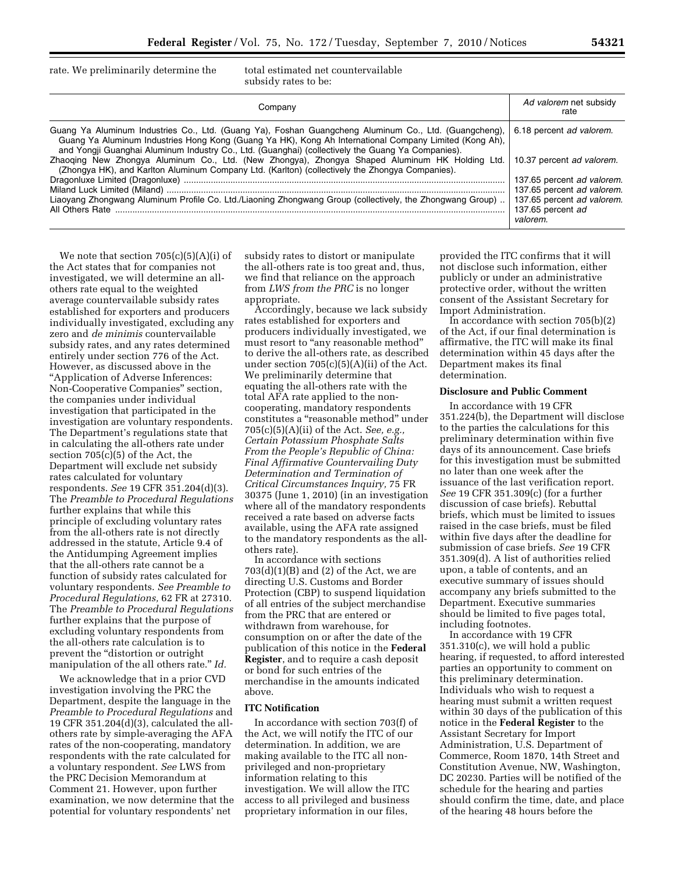rate. We preliminarily determine the total estimated net countervailable

subsidy rates to be:

| Company                                                                                                                                                                                                                                                                                                                                                                                                                                                                                                                                                                                                                                                   | Ad valorem net subsidy<br>rate                                                                                                                                                   |
|-----------------------------------------------------------------------------------------------------------------------------------------------------------------------------------------------------------------------------------------------------------------------------------------------------------------------------------------------------------------------------------------------------------------------------------------------------------------------------------------------------------------------------------------------------------------------------------------------------------------------------------------------------------|----------------------------------------------------------------------------------------------------------------------------------------------------------------------------------|
| Guang Ya Aluminum Industries Co., Ltd. (Guang Ya), Foshan Guangcheng Aluminum Co., Ltd. (Guangcheng),<br>Guang Ya Aluminum Industries Hong Kong (Guang Ya HK), Kong Ah International Company Limited (Kong Ah),<br>and Yongji Guanghai Aluminum Industry Co., Ltd. (Guanghai) (collectively the Guang Ya Companies).<br>Zhaoging New Zhongya Aluminum Co., Ltd. (New Zhongya), Zhongya Shaped Aluminum HK Holding Ltd.<br>(Zhongya HK), and Karlton Aluminum Company Ltd. (Karlton) (collectively the Zhongya Companies).<br>Liaoyang Zhongwang Aluminum Profile Co. Ltd./Liaoning Zhongwang Group (collectively, the Zhongwang Group)<br>All Others Rate | 6.18 percent ad valorem.<br>10.37 percent ad valorem.<br>137.65 percent ad valorem.<br>137.65 percent ad valorem.<br>137.65 percent ad valorem.<br>137.65 percent ad<br>valorem. |

We note that section  $705(c)(5)(A)(i)$  of the Act states that for companies not investigated, we will determine an allothers rate equal to the weighted average countervailable subsidy rates established for exporters and producers individually investigated, excluding any zero and *de minimis* countervailable subsidy rates, and any rates determined entirely under section 776 of the Act. However, as discussed above in the ''Application of Adverse Inferences: Non-Cooperative Companies'' section, the companies under individual investigation that participated in the investigation are voluntary respondents. The Department's regulations state that in calculating the all-others rate under section 705(c)(5) of the Act, the Department will exclude net subsidy rates calculated for voluntary respondents. *See* 19 CFR 351.204(d)(3). The *Preamble to Procedural Regulations*  further explains that while this principle of excluding voluntary rates from the all-others rate is not directly addressed in the statute, Article 9.4 of the Antidumping Agreement implies that the all-others rate cannot be a function of subsidy rates calculated for voluntary respondents. *See Preamble to Procedural Regulations,* 62 FR at 27310. The *Preamble to Procedural Regulations*  further explains that the purpose of excluding voluntary respondents from the all-others rate calculation is to prevent the "distortion or outright manipulation of the all others rate.'' *Id.* 

We acknowledge that in a prior CVD investigation involving the PRC the Department, despite the language in the *Preamble to Procedural Regulations* and 19 CFR 351.204(d)(3), calculated the allothers rate by simple-averaging the AFA rates of the non-cooperating, mandatory respondents with the rate calculated for a voluntary respondent. *See* LWS from the PRC Decision Memorandum at Comment 21. However, upon further examination, we now determine that the potential for voluntary respondents' net

subsidy rates to distort or manipulate the all-others rate is too great and, thus, we find that reliance on the approach from *LWS from the PRC* is no longer appropriate.

Accordingly, because we lack subsidy rates established for exporters and producers individually investigated, we must resort to "any reasonable method" to derive the all-others rate, as described under section 705(c)(5)(A)(ii) of the Act. We preliminarily determine that equating the all-others rate with the total AFA rate applied to the noncooperating, mandatory respondents constitutes a ''reasonable method'' under 705(c)(5)(A)(ii) of the Act. *See, e.g., Certain Potassium Phosphate Salts From the People's Republic of China: Final Affirmative Countervailing Duty Determination and Termination of Critical Circumstances Inquiry,* 75 FR 30375 (June 1, 2010) (in an investigation where all of the mandatory respondents received a rate based on adverse facts available, using the AFA rate assigned to the mandatory respondents as the allothers rate).

In accordance with sections  $703(d)(1)(B)$  and  $(2)$  of the Act, we are directing U.S. Customs and Border Protection (CBP) to suspend liquidation of all entries of the subject merchandise from the PRC that are entered or withdrawn from warehouse, for consumption on or after the date of the publication of this notice in the **Federal Register**, and to require a cash deposit or bond for such entries of the merchandise in the amounts indicated above.

# **ITC Notification**

In accordance with section 703(f) of the Act, we will notify the ITC of our determination. In addition, we are making available to the ITC all nonprivileged and non-proprietary information relating to this investigation. We will allow the ITC access to all privileged and business proprietary information in our files,

provided the ITC confirms that it will not disclose such information, either publicly or under an administrative protective order, without the written consent of the Assistant Secretary for Import Administration.

In accordance with section  $705(b)(2)$ of the Act, if our final determination is affirmative, the ITC will make its final determination within 45 days after the Department makes its final determination.

### **Disclosure and Public Comment**

In accordance with 19 CFR 351.224(b), the Department will disclose to the parties the calculations for this preliminary determination within five days of its announcement. Case briefs for this investigation must be submitted no later than one week after the issuance of the last verification report. *See* 19 CFR 351.309(c) (for a further discussion of case briefs). Rebuttal briefs, which must be limited to issues raised in the case briefs, must be filed within five days after the deadline for submission of case briefs. *See* 19 CFR 351.309(d). A list of authorities relied upon, a table of contents, and an executive summary of issues should accompany any briefs submitted to the Department. Executive summaries should be limited to five pages total, including footnotes.

In accordance with 19 CFR 351.310(c), we will hold a public hearing, if requested, to afford interested parties an opportunity to comment on this preliminary determination. Individuals who wish to request a hearing must submit a written request within 30 days of the publication of this notice in the **Federal Register** to the Assistant Secretary for Import Administration, U.S. Department of Commerce, Room 1870, 14th Street and Constitution Avenue, NW, Washington, DC 20230. Parties will be notified of the schedule for the hearing and parties should confirm the time, date, and place of the hearing 48 hours before the